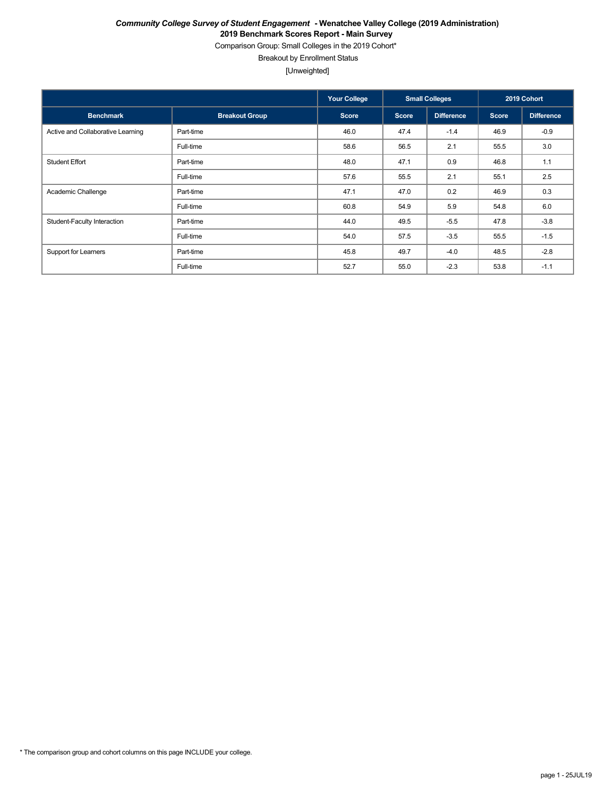Comparison Group: Small Colleges in the 2019 Cohort\*

Breakout by Enrollment Status

[Unweighted]

|                                   |                       | <b>Your College</b> |              | <b>Small Colleges</b> |              | 2019 Cohort       |
|-----------------------------------|-----------------------|---------------------|--------------|-----------------------|--------------|-------------------|
| <b>Benchmark</b>                  | <b>Breakout Group</b> | <b>Score</b>        | <b>Score</b> | <b>Difference</b>     | <b>Score</b> | <b>Difference</b> |
| Active and Collaborative Learning | Part-time             | 46.0                | 47.4         | $-1.4$                | 46.9         | $-0.9$            |
|                                   | Full-time             | 58.6                | 56.5         | 2.1                   | 55.5         | 3.0               |
| <b>Student Effort</b>             | Part-time             | 48.0                | 47.1         | 0.9                   | 46.8         | 1.1               |
|                                   | Full-time             | 57.6                | 55.5         | 2.1                   | 55.1         | 2.5               |
| Academic Challenge                | Part-time             | 47.1                | 47.0         | 0.2                   | 46.9         | 0.3               |
|                                   | Full-time             | 60.8                | 54.9         | 5.9                   | 54.8         | 6.0               |
| Student-Faculty Interaction       | Part-time             | 44.0                | 49.5         | $-5.5$                | 47.8         | $-3.8$            |
|                                   | Full-time             | 54.0                | 57.5         | $-3.5$                | 55.5         | $-1.5$            |
| Support for Learners              | Part-time             | 45.8                | 49.7         | $-4.0$                | 48.5         | $-2.8$            |
|                                   | Full-time             | 52.7                | 55.0         | $-2.3$                | 53.8         | $-1.1$            |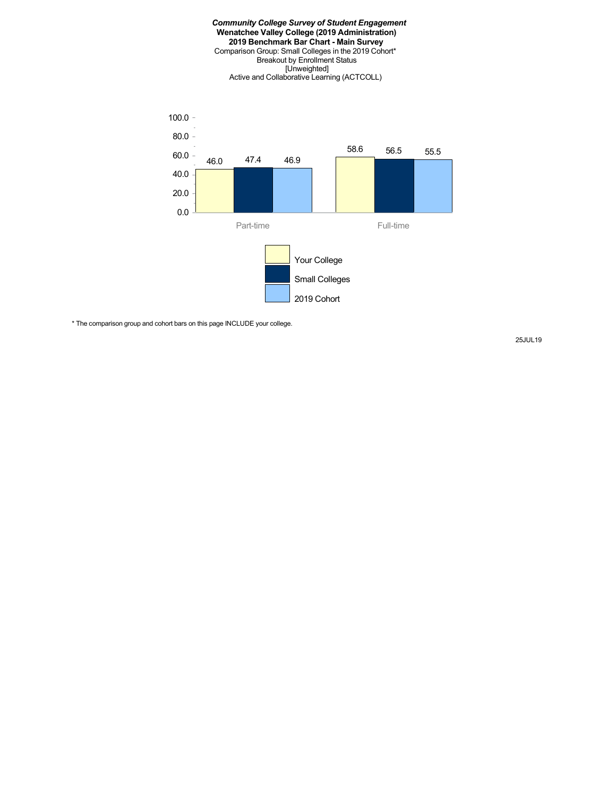#### *Community College Survey of Student Engagement* **Wenatchee Valley College (2019 Administration) 2019 Benchmark Bar Chart - Main Survey** Comparison Group: Small Colleges in the 2019 Cohort\* Breakout by Enrollment Status [Unweighted] Active and Collaborative Learning (ACTCOLL)



\* The comparison group and cohort bars on this page INCLUDE your college.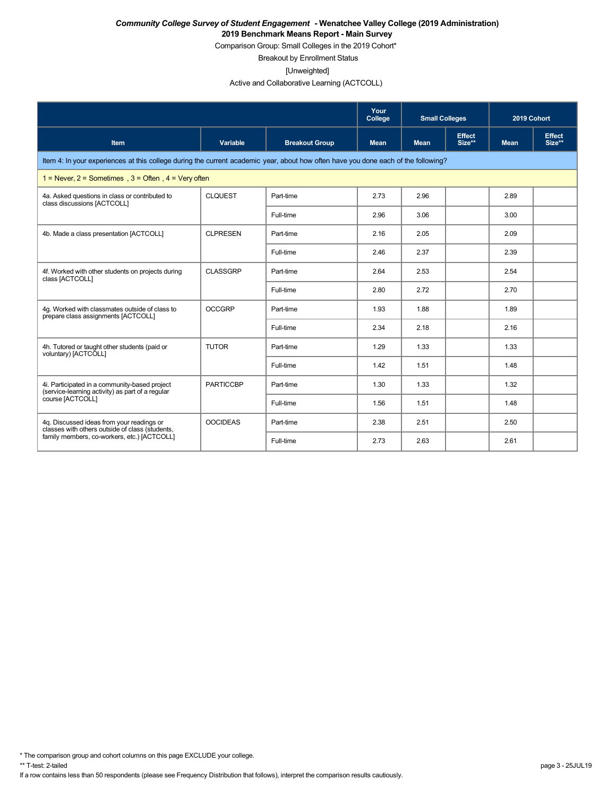Comparison Group: Small Colleges in the 2019 Cohort\*

Breakout by Enrollment Status

[Unweighted]

Active and Collaborative Learning (ACTCOLL)

|                                                                                                                                    |                  |                       | Your<br>College | <b>Small Colleges</b> |                         | 2019 Cohort |                         |
|------------------------------------------------------------------------------------------------------------------------------------|------------------|-----------------------|-----------------|-----------------------|-------------------------|-------------|-------------------------|
| <b>Item</b>                                                                                                                        | Variable         | <b>Breakout Group</b> | <b>Mean</b>     | <b>Mean</b>           | <b>Effect</b><br>Size** | <b>Mean</b> | <b>Effect</b><br>Size** |
| Item 4: In your experiences at this college during the current academic year, about how often have you done each of the following? |                  |                       |                 |                       |                         |             |                         |
| $1 =$ Never, $2 =$ Sometimes, $3 =$ Often, $4 =$ Very often                                                                        |                  |                       |                 |                       |                         |             |                         |
| 4a. Asked questions in class or contributed to<br>class discussions [ACTCOLL]                                                      | <b>CLQUEST</b>   | Part-time             | 2.73            | 2.96                  |                         | 2.89        |                         |
|                                                                                                                                    |                  | Full-time             | 2.96            | 3.06                  |                         | 3.00        |                         |
| 4b. Made a class presentation [ACTCOLL]                                                                                            | <b>CLPRESEN</b>  | Part-time             | 2.16            | 2.05                  |                         | 2.09        |                         |
|                                                                                                                                    |                  | Full-time             | 2.46            | 2.37                  |                         | 2.39        |                         |
| 4f. Worked with other students on projects during<br>class [ACTCOLL]                                                               | <b>CLASSGRP</b>  | Part-time             | 2.64            | 2.53                  |                         | 2.54        |                         |
|                                                                                                                                    |                  | Full-time             | 2.80            | 2.72                  |                         | 2.70        |                         |
| 4q. Worked with classmates outside of class to<br>prepare class assignments [ACTCOLL]                                              | <b>OCCGRP</b>    | Part-time             | 1.93            | 1.88                  |                         | 1.89        |                         |
|                                                                                                                                    |                  | Full-time             | 2.34            | 2.18                  |                         | 2.16        |                         |
| 4h. Tutored or taught other students (paid or<br>voluntary) [ACTCOLL]                                                              | <b>TUTOR</b>     | Part-time             | 1.29            | 1.33                  |                         | 1.33        |                         |
|                                                                                                                                    |                  | Full-time             | 1.42            | 1.51                  |                         | 1.48        |                         |
| 4i. Participated in a community-based project<br>(service-learning activity) as part of a regular                                  | <b>PARTICCBP</b> | Part-time             | 1.30            | 1.33                  |                         | 1.32        |                         |
| course [ACTCOLL]                                                                                                                   |                  | Full-time             | 1.56            | 1.51                  |                         | 1.48        |                         |
| 4g. Discussed ideas from your readings or<br>classes with others outside of class (students,                                       | <b>OOCIDEAS</b>  | Part-time             | 2.38            | 2.51                  |                         | 2.50        |                         |
| family members, co-workers, etc.) [ACTCOLL]                                                                                        |                  | Full-time             | 2.73            | 2.63                  |                         | 2.61        |                         |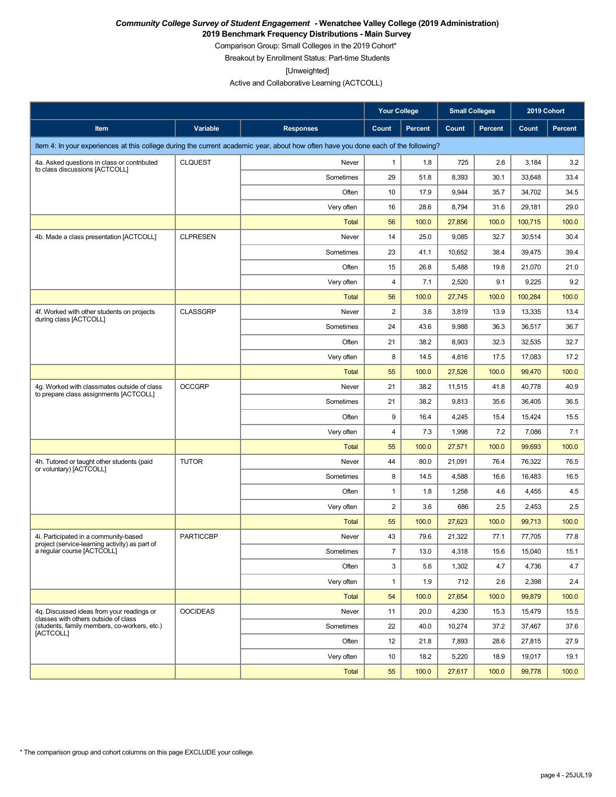**2019 Benchmark Frequency Distributions - Main Survey**

Comparison Group: Small Colleges in the 2019 Cohort\* Breakout by Enrollment Status: Part-time Students

[Unweighted]

Active and Collaborative Learning (ACTCOLL)

|                                                                                                                                    |                  |                  | <b>Your College</b> |         | <b>Small Colleges</b> |                | 2019 Cohort |         |
|------------------------------------------------------------------------------------------------------------------------------------|------------------|------------------|---------------------|---------|-----------------------|----------------|-------------|---------|
| Item                                                                                                                               | Variable         | <b>Responses</b> | Count               | Percent | Count                 | <b>Percent</b> | Count       | Percent |
| Item 4: In your experiences at this college during the current academic year, about how often have you done each of the following? |                  |                  |                     |         |                       |                |             |         |
| 4a. Asked questions in class or contributed                                                                                        | <b>CLQUEST</b>   | Never            | 1                   | 1.8     | 725                   | 2.6            | 3,184       | 3.2     |
| to class discussions [ACTCOLL]                                                                                                     |                  | Sometimes        | 29                  | 51.8    | 8,393                 | 30.1           | 33,648      | 33.4    |
|                                                                                                                                    |                  | Often            | 10                  | 17.9    | 9,944                 | 35.7           | 34,702      | 34.5    |
|                                                                                                                                    |                  | Very often       | 16                  | 28.6    | 8,794                 | 31.6           | 29,181      | 29.0    |
|                                                                                                                                    |                  | Total            | 56                  | 100.0   | 27,856                | 100.0          | 100,715     | 100.0   |
| 4b. Made a class presentation [ACTCOLL]                                                                                            | <b>CLPRESEN</b>  | Never            | 14                  | 25.0    | 9,085                 | 32.7           | 30,514      | 30.4    |
|                                                                                                                                    |                  | Sometimes        | 23                  | 41.1    | 10,652                | 38.4           | 39,475      | 39.4    |
|                                                                                                                                    |                  | Often            | 15                  | 26.8    | 5,488                 | 19.8           | 21,070      | 21.0    |
|                                                                                                                                    |                  | Very often       | 4                   | 7.1     | 2,520                 | 9.1            | 9,225       | 9.2     |
|                                                                                                                                    |                  | <b>Total</b>     | 56                  | 100.0   | 27,745                | 100.0          | 100,284     | 100.0   |
| 4f. Worked with other students on projects<br>during class [ACTCOLL]                                                               | <b>CLASSGRP</b>  | Never            | 2                   | 3.6     | 3,819                 | 13.9           | 13,335      | 13.4    |
|                                                                                                                                    |                  | Sometimes        | 24                  | 43.6    | 9,988                 | 36.3           | 36,517      | 36.7    |
|                                                                                                                                    |                  | Often            | 21                  | 38.2    | 8,903                 | 32.3           | 32,535      | 32.7    |
|                                                                                                                                    |                  | Very often       | 8                   | 14.5    | 4,816                 | 17.5           | 17,083      | 17.2    |
|                                                                                                                                    |                  | <b>Total</b>     | 55                  | 100.0   | 27,526                | 100.0          | 99,470      | 100.0   |
| 4g. Worked with classmates outside of class<br>to prepare class assignments [ACTCOLL]                                              | <b>OCCGRP</b>    | Never            | 21                  | 38.2    | 11,515                | 41.8           | 40,778      | 40.9    |
|                                                                                                                                    |                  | Sometimes        | 21                  | 38.2    | 9,813                 | 35.6           | 36,405      | 36.5    |
|                                                                                                                                    |                  | Often            | 9                   | 16.4    | 4,245                 | 15.4           | 15,424      | 15.5    |
|                                                                                                                                    |                  | Very often       | 4                   | 7.3     | 1,998                 | 7.2            | 7,086       | 7.1     |
|                                                                                                                                    |                  | <b>Total</b>     | 55                  | 100.0   | 27,571                | 100.0          | 99,693      | 100.0   |
| 4h. Tutored or taught other students (paid<br>or voluntary) [ACTCOLL]                                                              | <b>TUTOR</b>     | Never            | 44                  | 80.0    | 21,091                | 76.4           | 76,322      | 76.5    |
|                                                                                                                                    |                  | Sometimes        | 8                   | 14.5    | 4,588                 | 16.6           | 16,483      | 16.5    |
|                                                                                                                                    |                  | Often            | $\mathbf{1}$        | 1.8     | 1,258                 | 4.6            | 4,455       | 4.5     |
|                                                                                                                                    |                  | Very often       | $\overline{c}$      | 3.6     | 686                   | 2.5            | 2,453       | 2.5     |
|                                                                                                                                    |                  | Total            | 55                  | 100.0   | 27,623                | 100.0          | 99,713      | 100.0   |
| 4i. Participated in a community-based<br>project (service-learning activity) as part of                                            | <b>PARTICCBP</b> | Never            | 43                  | 79.6    | 21,322                | 77.1           | 77,705      | 77.8    |
| a regular course [ACTCOLL]                                                                                                         |                  | Sometimes        | $\overline{7}$      | 13.0    | 4,318                 | 15.6           | 15,040      | 15.1    |
|                                                                                                                                    |                  | Often            | 3                   | 5.6     | 1,302                 | 4.7            | 4,736       | 4.7     |
|                                                                                                                                    |                  | Very often       | $\mathbf{1}$        | 1.9     | 712                   | 2.6            | 2,398       | 2.4     |
|                                                                                                                                    |                  | <b>Total</b>     | 54                  | 100.0   | 27,654                | 100.0          | 99,879      | 100.0   |
| 4g. Discussed ideas from your readings or<br>classes with others outside of class                                                  | <b>OOCIDEAS</b>  | Never            | 11                  | 20.0    | 4,230                 | 15.3           | 15,479      | 15.5    |
| (students, family members, co-workers, etc.)<br>[ACTCOLL]                                                                          |                  | Sometimes        | 22                  | 40.0    | 10,274                | 37.2           | 37,467      | 37.6    |
|                                                                                                                                    |                  | Often            | 12                  | 21.8    | 7,893                 | 28.6           | 27,815      | 27.9    |
|                                                                                                                                    |                  | Very often       | 10                  | 18.2    | 5,220                 | 18.9           | 19,017      | 19.1    |
|                                                                                                                                    |                  | Total            | 55                  | 100.0   | 27,617                | 100.0          | 99,778      | 100.0   |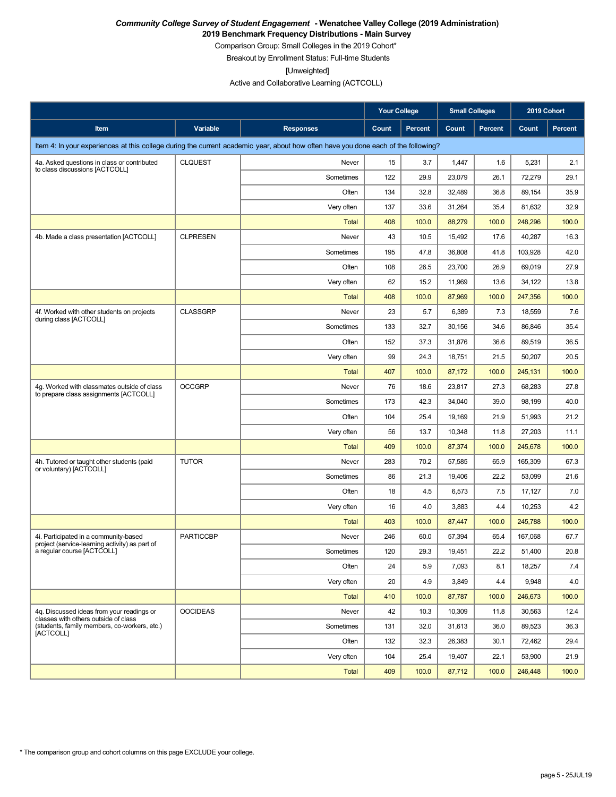**2019 Benchmark Frequency Distributions - Main Survey**

Comparison Group: Small Colleges in the 2019 Cohort\*

Breakout by Enrollment Status: Full-time Students

[Unweighted]

Active and Collaborative Learning (ACTCOLL)

|                                                                                                                                    |                  |                  | <b>Your College</b> |                | <b>Small Colleges</b> |                | 2019 Cohort |         |
|------------------------------------------------------------------------------------------------------------------------------------|------------------|------------------|---------------------|----------------|-----------------------|----------------|-------------|---------|
| Item                                                                                                                               | Variable         | <b>Responses</b> | Count               | <b>Percent</b> | Count                 | <b>Percent</b> | Count       | Percent |
| Item 4: In your experiences at this college during the current academic year, about how often have you done each of the following? |                  |                  |                     |                |                       |                |             |         |
| 4a. Asked questions in class or contributed                                                                                        | <b>CLQUEST</b>   | Never            | 15                  | 3.7            | 1,447                 | 1.6            | 5,231       | 2.1     |
| to class discussions [ACTCOLL]                                                                                                     |                  | Sometimes        | 122                 | 29.9           | 23,079                | 26.1           | 72,279      | 29.1    |
|                                                                                                                                    |                  | Often            | 134                 | 32.8           | 32,489                | 36.8           | 89,154      | 35.9    |
|                                                                                                                                    |                  | Very often       | 137                 | 33.6           | 31,264                | 35.4           | 81,632      | 32.9    |
|                                                                                                                                    |                  | Total            | 408                 | 100.0          | 88,279                | 100.0          | 248,296     | 100.0   |
| 4b. Made a class presentation [ACTCOLL]                                                                                            | <b>CLPRESEN</b>  | Never            | 43                  | 10.5           | 15,492                | 17.6           | 40,287      | 16.3    |
|                                                                                                                                    |                  | Sometimes        | 195                 | 47.8           | 36,808                | 41.8           | 103,928     | 42.0    |
|                                                                                                                                    |                  | Often            | 108                 | 26.5           | 23,700                | 26.9           | 69,019      | 27.9    |
|                                                                                                                                    |                  | Very often       | 62                  | 15.2           | 11,969                | 13.6           | 34,122      | 13.8    |
|                                                                                                                                    |                  | <b>Total</b>     | 408                 | 100.0          | 87,969                | 100.0          | 247,356     | 100.0   |
| 4f. Worked with other students on projects<br>during class [ACTCOLL]                                                               | <b>CLASSGRP</b>  | Never            | 23                  | 5.7            | 6,389                 | 7.3            | 18,559      | 7.6     |
|                                                                                                                                    |                  | Sometimes        | 133                 | 32.7           | 30,156                | 34.6           | 86,846      | 35.4    |
|                                                                                                                                    |                  | Often            | 152                 | 37.3           | 31,876                | 36.6           | 89,519      | 36.5    |
|                                                                                                                                    |                  | Very often       | 99                  | 24.3           | 18,751                | 21.5           | 50,207      | 20.5    |
|                                                                                                                                    |                  | <b>Total</b>     | 407                 | 100.0          | 87,172                | 100.0          | 245,131     | 100.0   |
| 4g. Worked with classmates outside of class<br>to prepare class assignments [ACTCOLL]                                              | <b>OCCGRP</b>    | Never            | 76                  | 18.6           | 23,817                | 27.3           | 68,283      | 27.8    |
|                                                                                                                                    |                  | Sometimes        | 173                 | 42.3           | 34,040                | 39.0           | 98,199      | 40.0    |
|                                                                                                                                    |                  | Often            | 104                 | 25.4           | 19,169                | 21.9           | 51,993      | 21.2    |
|                                                                                                                                    |                  | Very often       | 56                  | 13.7           | 10,348                | 11.8           | 27,203      | 11.1    |
|                                                                                                                                    |                  | <b>Total</b>     | 409                 | 100.0          | 87,374                | 100.0          | 245,678     | 100.0   |
| 4h. Tutored or taught other students (paid<br>or voluntary) [ACTCOLL]                                                              | <b>TUTOR</b>     | Never            | 283                 | 70.2           | 57,585                | 65.9           | 165,309     | 67.3    |
|                                                                                                                                    |                  | Sometimes        | 86                  | 21.3           | 19,406                | 22.2           | 53,099      | 21.6    |
|                                                                                                                                    |                  | Often            | 18                  | 4.5            | 6,573                 | 7.5            | 17,127      | 7.0     |
|                                                                                                                                    |                  | Very often       | 16                  | 4.0            | 3,883                 | 4.4            | 10,253      | 4.2     |
|                                                                                                                                    |                  | Total            | 403                 | 100.0          | 87,447                | 100.0          | 245,788     | 100.0   |
| 4i. Participated in a community-based<br>project (service-learning activity) as part of                                            | <b>PARTICCBP</b> | Never            | 246                 | 60.0           | 57,394                | 65.4           | 167,068     | 67.7    |
| a regular course [ACTCOLL]                                                                                                         |                  | Sometimes        | 120                 | 29.3           | 19,451                | 22.2           | 51,400      | 20.8    |
|                                                                                                                                    |                  | Often            | 24                  | 5.9            | 7,093                 | 8.1            | 18,257      | 7.4     |
|                                                                                                                                    |                  | Very often       | 20                  | 4.9            | 3,849                 | 4.4            | 9,948       | 4.0     |
|                                                                                                                                    |                  | <b>Total</b>     | 410                 | 100.0          | 87,787                | 100.0          | 246,673     | 100.0   |
| 4q. Discussed ideas from your readings or<br>classes with others outside of class                                                  | <b>OOCIDEAS</b>  | Never            | 42                  | 10.3           | 10,309                | 11.8           | 30,563      | 12.4    |
| (students, family members, co-workers, etc.)<br>[ACTCOLL]                                                                          |                  | Sometimes        | 131                 | 32.0           | 31,613                | 36.0           | 89,523      | 36.3    |
|                                                                                                                                    |                  | Often            | 132                 | 32.3           | 26,383                | 30.1           | 72,462      | 29.4    |
|                                                                                                                                    |                  | Very often       | 104                 | 25.4           | 19,407                | 22.1           | 53,900      | 21.9    |
|                                                                                                                                    |                  | <b>Total</b>     | 409                 | 100.0          | 87,712                | 100.0          | 246,448     | 100.0   |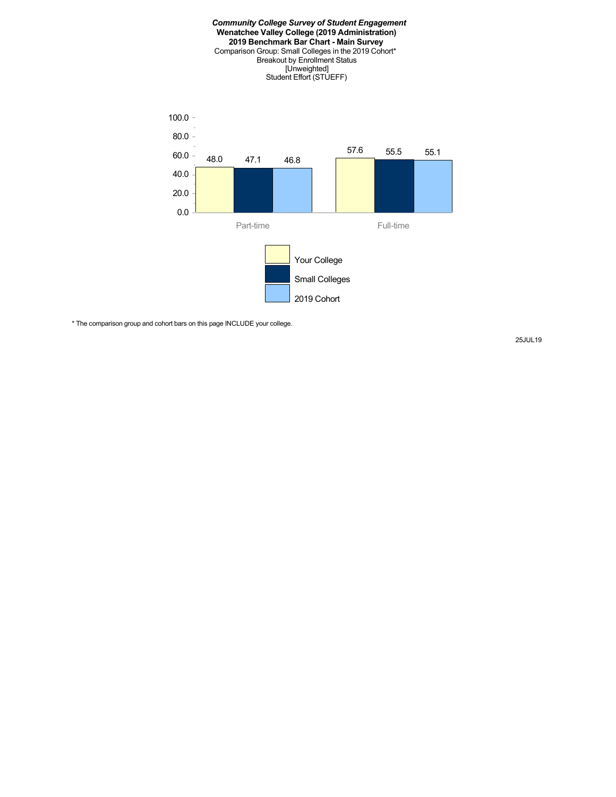

\* The comparison group and cohort bars on this page INCLUDE your college.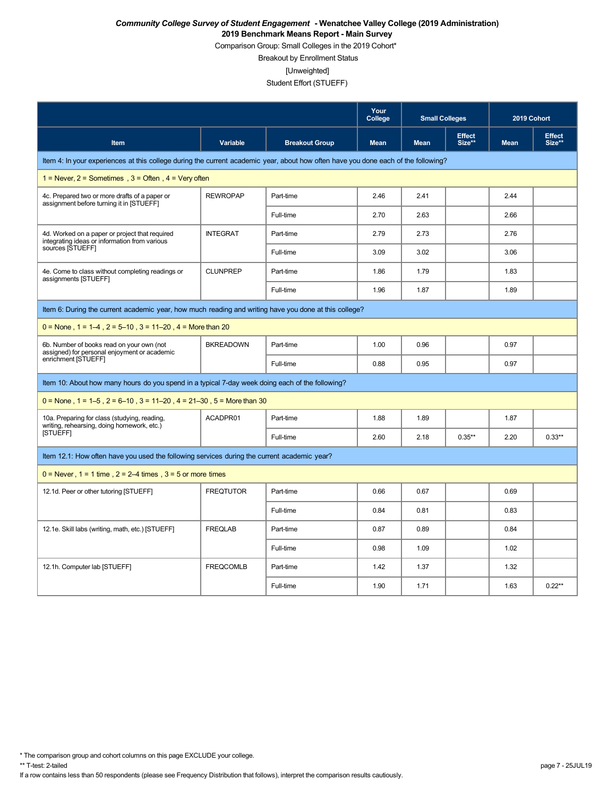Comparison Group: Small Colleges in the 2019 Cohort\*

Breakout by Enrollment Status

[Unweighted]

#### Student Effort (STUEFF)

|                                                                                                                                    |                  |                       | Your<br>College | <b>Small Colleges</b> |                         | 2019 Cohort |                         |
|------------------------------------------------------------------------------------------------------------------------------------|------------------|-----------------------|-----------------|-----------------------|-------------------------|-------------|-------------------------|
| Item                                                                                                                               | <b>Variable</b>  | <b>Breakout Group</b> | <b>Mean</b>     | <b>Mean</b>           | <b>Effect</b><br>Size** | <b>Mean</b> | <b>Effect</b><br>Size** |
| Item 4: In your experiences at this college during the current academic year, about how often have you done each of the following? |                  |                       |                 |                       |                         |             |                         |
| 1 = Never, $2$ = Sometimes, $3$ = Often, $4$ = Very often                                                                          |                  |                       |                 |                       |                         |             |                         |
| 4c. Prepared two or more drafts of a paper or<br>assignment before turning it in [STUEFF]                                          | <b>REWROPAP</b>  | Part-time             | 2.46            | 2.41                  |                         | 2.44        |                         |
|                                                                                                                                    |                  | Full-time             | 2.70            | 2.63                  |                         | 2.66        |                         |
| 4d. Worked on a paper or project that required<br>integrating ideas or information from various                                    | <b>INTEGRAT</b>  | Part-time             | 2.79            | 2.73                  |                         | 2.76        |                         |
| sources [STUEFF]                                                                                                                   |                  | Full-time             | 3.09            | 3.02                  |                         | 3.06        |                         |
| 4e. Come to class without completing readings or<br>assignments [STUEFF]                                                           | <b>CLUNPREP</b>  | Part-time             | 1.86            | 1.79                  |                         | 1.83        |                         |
|                                                                                                                                    |                  | Full-time             | 1.96            | 1.87                  |                         | 1.89        |                         |
| Item 6: During the current academic year, how much reading and writing have you done at this college?                              |                  |                       |                 |                       |                         |             |                         |
| $0 =$ None, 1 = 1–4, 2 = 5–10, 3 = 11–20, 4 = More than 20                                                                         |                  |                       |                 |                       |                         |             |                         |
| 6b. Number of books read on your own (not<br>assigned) for personal enjoyment or academic                                          | <b>BKREADOWN</b> | Part-time             | 1.00            | 0.96                  |                         | 0.97        |                         |
| enrichment [STUEFF]                                                                                                                |                  | Full-time             | 0.88            | 0.95                  |                         | 0.97        |                         |
| Item 10: About how many hours do you spend in a typical 7-day week doing each of the following?                                    |                  |                       |                 |                       |                         |             |                         |
| $0 =$ None, 1 = 1–5, 2 = 6–10, 3 = 11–20, 4 = 21–30, 5 = More than 30                                                              |                  |                       |                 |                       |                         |             |                         |
| 10a. Preparing for class (studying, reading,<br>writing, rehearsing, doing homework, etc.)                                         | ACADPR01         | Part-time             | 1.88            | 1.89                  |                         | 1.87        |                         |
| [STUEFF]                                                                                                                           |                  | Full-time             | 2.60            | 2.18                  | $0.35***$               | 2.20        | $0.33**$                |
| Item 12.1: How often have you used the following services during the current academic year?                                        |                  |                       |                 |                       |                         |             |                         |
| $0 =$ Never, $1 = 1$ time, $2 = 2-4$ times, $3 = 5$ or more times                                                                  |                  |                       |                 |                       |                         |             |                         |
| 12.1d. Peer or other tutoring [STUEFF]                                                                                             | <b>FREQTUTOR</b> | Part-time             | 0.66            | 0.67                  |                         | 0.69        |                         |
|                                                                                                                                    |                  | Full-time             | 0.84            | 0.81                  |                         | 0.83        |                         |
| 12.1e. Skill labs (writing, math, etc.) [STUEFF]                                                                                   | <b>FREQLAB</b>   | Part-time             | 0.87            | 0.89                  |                         | 0.84        |                         |
|                                                                                                                                    |                  | Full-time             | 0.98            | 1.09                  |                         | 1.02        |                         |
| 12.1h. Computer lab [STUEFF]                                                                                                       | <b>FREQCOMLB</b> | Part-time             | 1.42            | 1.37                  |                         | 1.32        |                         |
|                                                                                                                                    |                  | Full-time             | 1.90            | 1.71                  |                         | 1.63        | $0.22**$                |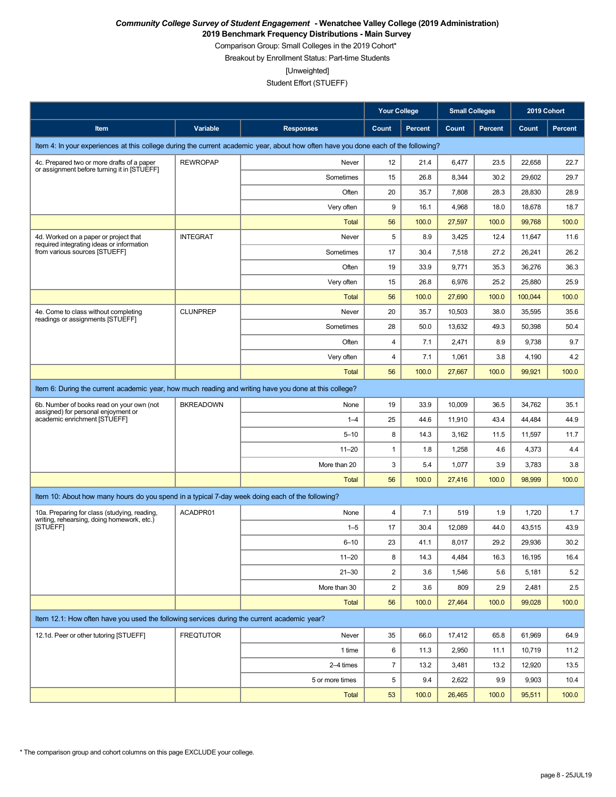**2019 Benchmark Frequency Distributions - Main Survey**

Comparison Group: Small Colleges in the 2019 Cohort\*

Breakout by Enrollment Status: Part-time Students

[Unweighted]

|                                                                                                                                    |                  |                  |                         | <b>Your College</b><br><b>Small Colleges</b> |        | 2019 Cohort    |         |                  |
|------------------------------------------------------------------------------------------------------------------------------------|------------------|------------------|-------------------------|----------------------------------------------|--------|----------------|---------|------------------|
| <b>Item</b>                                                                                                                        | Variable         | <b>Responses</b> | Count                   | <b>Percent</b>                               | Count  | <b>Percent</b> | Count   | <b>Percent</b>   |
| Item 4: In your experiences at this college during the current academic year, about how often have you done each of the following? |                  |                  |                         |                                              |        |                |         |                  |
| 4c. Prepared two or more drafts of a paper                                                                                         | <b>REWROPAP</b>  | Never            | 12                      | 21.4                                         | 6,477  | 23.5           | 22,658  | 22.7             |
| or assignment before turning it in [STUEFF]                                                                                        |                  | Sometimes        | 15                      | 26.8                                         | 8,344  | 30.2           | 29.602  | 29.7             |
|                                                                                                                                    |                  | Often            | 20                      | 35.7                                         | 7,808  | 28.3           | 28,830  | 28.9             |
|                                                                                                                                    |                  | Very often       | 9                       | 16.1                                         | 4,968  | 18.0           | 18,678  | 18.7             |
|                                                                                                                                    |                  | <b>Total</b>     | 56                      | 100.0                                        | 27,597 | 100.0          | 99,768  | 100.0            |
| 4d. Worked on a paper or project that<br>required integrating ideas or information                                                 | <b>INTEGRAT</b>  | Never            | 5                       | 8.9                                          | 3,425  | 12.4           | 11,647  | 11.6             |
| from various sources [STUEFF]                                                                                                      |                  | Sometimes        | 17                      | 30.4                                         | 7,518  | 27.2           | 26,241  | 26.2             |
|                                                                                                                                    |                  | Often            | 19                      | 33.9                                         | 9,771  | 35.3           | 36,276  | 36.3             |
|                                                                                                                                    |                  | Very often       | 15                      | 26.8                                         | 6,976  | 25.2           | 25,880  | 25.9             |
|                                                                                                                                    |                  | Total            | 56                      | 100.0                                        | 27,690 | 100.0          | 100,044 | 100.0            |
| 4e. Come to class without completing<br>readings or assignments [STUEFF]                                                           | <b>CLUNPREP</b>  | Never            | 20                      | 35.7                                         | 10,503 | 38.0           | 35,595  | 35.6             |
|                                                                                                                                    |                  | Sometimes        | 28                      | 50.0                                         | 13,632 | 49.3           | 50,398  | 50.4             |
|                                                                                                                                    |                  | Often            | $\overline{\mathbf{4}}$ | 7.1                                          | 2,471  | 8.9            | 9,738   | 9.7              |
|                                                                                                                                    |                  | Very often       | 4                       | 7.1                                          | 1,061  | 3.8            | 4,190   | 4.2              |
|                                                                                                                                    |                  | <b>Total</b>     | 56                      | 100.0                                        | 27,667 | 100.0          | 99,921  | 100.0            |
| Item 6: During the current academic year, how much reading and writing have you done at this college?                              |                  |                  |                         |                                              |        |                |         |                  |
| 6b. Number of books read on your own (not<br>assigned) for personal enjoyment or                                                   | <b>BKREADOWN</b> | None             | 19                      | 33.9                                         | 10,009 | 36.5           | 34,762  | 35.1             |
| academic enrichment [STUEFF]                                                                                                       |                  | $1 - 4$          | 25                      | 44.6                                         | 11,910 | 43.4           | 44,484  | 44.9             |
|                                                                                                                                    |                  | $5 - 10$         | 8                       | 14.3                                         | 3,162  | 11.5           | 11,597  | 11.7             |
|                                                                                                                                    |                  | $11 - 20$        | $\mathbf{1}$            | 1.8                                          | 1,258  | 4.6            | 4,373   | 4.4              |
|                                                                                                                                    |                  | More than 20     | 3                       | 5.4                                          | 1,077  | 3.9            | 3,783   | 3.8              |
|                                                                                                                                    |                  | <b>Total</b>     | 56                      | 100.0                                        | 27,416 | 100.0          | 98,999  | 100.0            |
| Item 10: About how many hours do you spend in a typical 7-day week doing each of the following?                                    |                  |                  |                         |                                              |        |                |         |                  |
| 10a. Preparing for class (studying, reading,<br>writing, rehearsing, doing homework, etc.)                                         | ACADPR01         | None             | 4                       | 7.1                                          | 519    | 1.9            | 1,720   | 1.7              |
| [STUEFF]                                                                                                                           |                  | $1 - 5$          | 17                      | 30.4                                         | 12,089 | 44.0           | 43,515  | 43.9             |
|                                                                                                                                    |                  | $6 - 10$         | 23                      | 41.1                                         | 8,017  | 29.2           | 29,936  | 30.2             |
|                                                                                                                                    |                  | $11 - 20$        | 8                       | 14.3                                         | 4,484  | 16.3           | 16,195  | 16.4             |
|                                                                                                                                    |                  | $21 - 30$        | 2                       | 3.6                                          | 1,546  | 5.6            | 5,181   | 5.2              |
|                                                                                                                                    |                  | More than 30     | $\overline{\mathbf{c}}$ | 3.6                                          | 809    | 2.9            | 2,481   | $2.5\phantom{0}$ |
|                                                                                                                                    |                  | Total            | 56                      | 100.0                                        | 27,464 | 100.0          | 99,028  | 100.0            |
| Item 12.1: How often have you used the following services during the current academic year?                                        |                  |                  |                         |                                              |        |                |         |                  |
| 12.1d. Peer or other tutoring [STUEFF]                                                                                             | <b>FREQTUTOR</b> | Never            | 35                      | 66.0                                         | 17,412 | 65.8           | 61,969  | 64.9             |
|                                                                                                                                    |                  | 1 time           | 6                       | 11.3                                         | 2,950  | 11.1           | 10,719  | 11.2             |
|                                                                                                                                    |                  | 2-4 times        | $\overline{7}$          | 13.2                                         | 3,481  | 13.2           | 12,920  | 13.5             |
|                                                                                                                                    |                  | 5 or more times  | 5                       | 9.4                                          | 2,622  | 9.9            | 9,903   | 10.4             |
|                                                                                                                                    |                  | Total            | 53                      | 100.0                                        | 26,465 | 100.0          | 95,511  | 100.0            |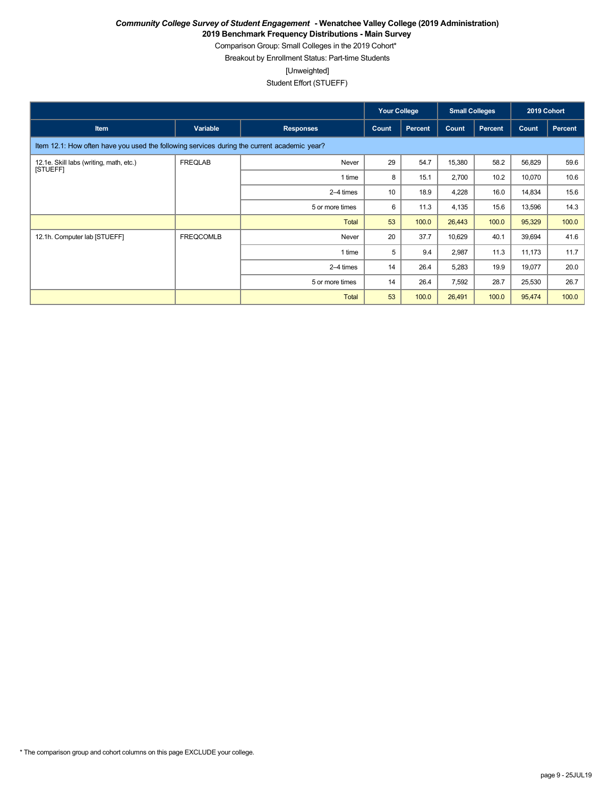**2019 Benchmark Frequency Distributions - Main Survey**

Comparison Group: Small Colleges in the 2019 Cohort\*

Breakout by Enrollment Status: Part-time Students

[Unweighted]

|                                                                                             |                  |                  | <b>Your College</b> |                | <b>Small Colleges</b> |         | 2019 Cohort |                |
|---------------------------------------------------------------------------------------------|------------------|------------------|---------------------|----------------|-----------------------|---------|-------------|----------------|
| Item                                                                                        | Variable         | <b>Responses</b> | Count               | <b>Percent</b> | Count                 | Percent | Count       | <b>Percent</b> |
| Item 12.1: How often have you used the following services during the current academic year? |                  |                  |                     |                |                       |         |             |                |
| 12.1e. Skill labs (writing, math, etc.)                                                     | <b>FREQLAB</b>   | Never            | 29                  | 54.7           | 15,380                | 58.2    | 56,829      | 59.6           |
| [STUEFF]                                                                                    |                  | 1 time           | 8                   | 15.1           | 2,700                 | 10.2    | 10,070      | 10.6           |
|                                                                                             |                  | 2-4 times        | 10                  | 18.9           | 4,228                 | 16.0    | 14,834      | 15.6           |
|                                                                                             |                  | 5 or more times  | 6                   | 11.3           | 4,135                 | 15.6    | 13,596      | 14.3           |
|                                                                                             |                  | <b>Total</b>     | 53                  | 100.0          | 26,443                | 100.0   | 95,329      | 100.0          |
| 12.1h. Computer lab [STUEFF]                                                                | <b>FREQCOMLB</b> | Never            | 20                  | 37.7           | 10,629                | 40.1    | 39,694      | 41.6           |
|                                                                                             |                  | 1 time           | 5                   | 9.4            | 2,987                 | 11.3    | 11,173      | 11.7           |
|                                                                                             |                  | 2-4 times        | 14                  | 26.4           | 5,283                 | 19.9    | 19,077      | 20.0           |
|                                                                                             |                  | 5 or more times  | 14                  | 26.4           | 7,592                 | 28.7    | 25,530      | 26.7           |
|                                                                                             |                  | <b>Total</b>     | 53                  | 100.0          | 26,491                | 100.0   | 95,474      | 100.0          |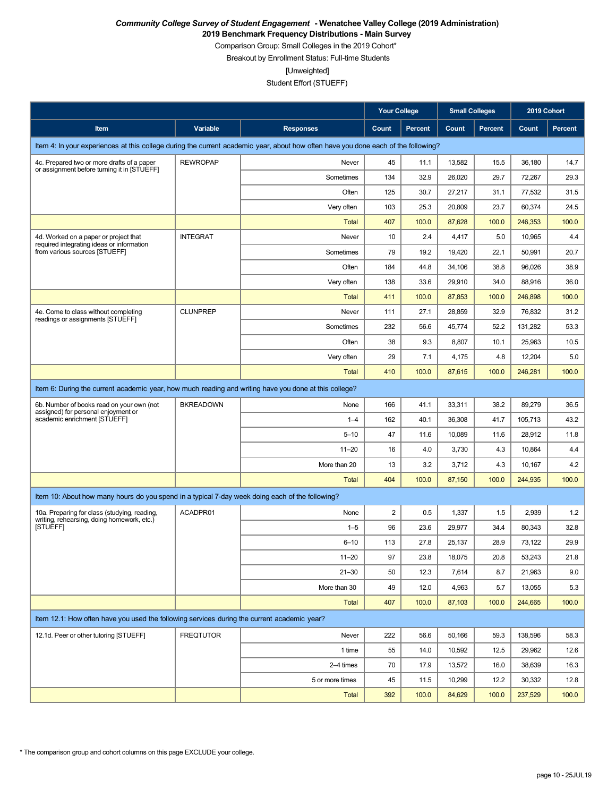**2019 Benchmark Frequency Distributions - Main Survey**

Comparison Group: Small Colleges in the 2019 Cohort\*

Breakout by Enrollment Status: Full-time Students

[Unweighted]

|                                                                                                                                    |                  |                  | <b>Your College</b> |                |        | <b>Small Colleges</b><br>2019 Cohort |         |                |
|------------------------------------------------------------------------------------------------------------------------------------|------------------|------------------|---------------------|----------------|--------|--------------------------------------|---------|----------------|
| Item                                                                                                                               | Variable         | <b>Responses</b> | Count               | <b>Percent</b> | Count  | <b>Percent</b>                       | Count   | <b>Percent</b> |
| Item 4: In your experiences at this college during the current academic year, about how often have you done each of the following? |                  |                  |                     |                |        |                                      |         |                |
| 4c. Prepared two or more drafts of a paper                                                                                         | <b>REWROPAP</b>  | Never            | 45                  | 11.1           | 13,582 | 15.5                                 | 36,180  | 14.7           |
| or assignment before turning it in [STUEFF]                                                                                        |                  | Sometimes        | 134                 | 32.9           | 26,020 | 29.7                                 | 72,267  | 29.3           |
|                                                                                                                                    |                  | Often            | 125                 | 30.7           | 27,217 | 31.1                                 | 77,532  | 31.5           |
|                                                                                                                                    |                  | Very often       | 103                 | 25.3           | 20.809 | 23.7                                 | 60.374  | 24.5           |
|                                                                                                                                    |                  | Total            | 407                 | 100.0          | 87,628 | 100.0                                | 246,353 | 100.0          |
| 4d. Worked on a paper or project that<br>required integrating ideas or information                                                 | <b>INTEGRAT</b>  | Never            | 10                  | 2.4            | 4,417  | 5.0                                  | 10,965  | 4.4            |
| from various sources [STUEFF]                                                                                                      |                  | Sometimes        | 79                  | 19.2           | 19,420 | 22.1                                 | 50,991  | 20.7           |
|                                                                                                                                    |                  | Often            | 184                 | 44.8           | 34,106 | 38.8                                 | 96,026  | 38.9           |
|                                                                                                                                    |                  | Very often       | 138                 | 33.6           | 29,910 | 34.0                                 | 88,916  | 36.0           |
|                                                                                                                                    |                  | Total            | 411                 | 100.0          | 87,853 | 100.0                                | 246,898 | 100.0          |
| 4e. Come to class without completing<br>readings or assignments [STUEFF]                                                           | <b>CLUNPREP</b>  | Never            | 111                 | 27.1           | 28,859 | 32.9                                 | 76,832  | 31.2           |
|                                                                                                                                    |                  | Sometimes        | 232                 | 56.6           | 45,774 | 52.2                                 | 131,282 | 53.3           |
|                                                                                                                                    |                  | Often            | 38                  | 9.3            | 8,807  | 10.1                                 | 25,963  | 10.5           |
|                                                                                                                                    |                  | Very often       | 29                  | 7.1            | 4,175  | 4.8                                  | 12,204  | 5.0            |
|                                                                                                                                    |                  | <b>Total</b>     | 410                 | 100.0          | 87,615 | 100.0                                | 246,281 | 100.0          |
| Item 6: During the current academic year, how much reading and writing have you done at this college?                              |                  |                  |                     |                |        |                                      |         |                |
| 6b. Number of books read on your own (not<br>assigned) for personal enjoyment or                                                   | <b>BKREADOWN</b> | None             | 166                 | 41.1           | 33,311 | 38.2                                 | 89,279  | 36.5           |
| academic enrichment [STUEFF]                                                                                                       |                  | $1 - 4$          | 162                 | 40.1           | 36,308 | 41.7                                 | 105,713 | 43.2           |
|                                                                                                                                    |                  | $5 - 10$         | 47                  | 11.6           | 10,089 | 11.6                                 | 28,912  | 11.8           |
|                                                                                                                                    |                  | $11 - 20$        | 16                  | 4.0            | 3,730  | 4.3                                  | 10,864  | 4.4            |
|                                                                                                                                    |                  | More than 20     | 13                  | 3.2            | 3,712  | 4.3                                  | 10,167  | 4.2            |
|                                                                                                                                    |                  | <b>Total</b>     | 404                 | 100.0          | 87,150 | 100.0                                | 244,935 | 100.0          |
| Item 10: About how many hours do you spend in a typical 7-day week doing each of the following?                                    |                  |                  |                     |                |        |                                      |         |                |
| 10a. Preparing for class (studying, reading,                                                                                       | ACADPR01         | None             | 2                   | 0.5            | 1,337  | 1.5                                  | 2,939   | 1.2            |
| writing, rehearsing, doing homework, etc.)<br>[STUEFF]                                                                             |                  | $1 - 5$          | 96                  | 23.6           | 29,977 | 34.4                                 | 80,343  | 32.8           |
|                                                                                                                                    |                  | $6 - 10$         | 113                 | 27.8           | 25,137 | 28.9                                 | 73,122  | 29.9           |
|                                                                                                                                    |                  | $11 - 20$        | 97                  | 23.8           | 18,075 | 20.8                                 | 53,243  | 21.8           |
|                                                                                                                                    |                  | $21 - 30$        | 50                  | 12.3           | 7,614  | 8.7                                  | 21,963  | 9.0            |
|                                                                                                                                    |                  | More than 30     | 49                  | 12.0           | 4,963  | 5.7                                  | 13,055  | 5.3            |
|                                                                                                                                    |                  | <b>Total</b>     | 407                 | 100.0          | 87,103 | 100.0                                | 244,665 | 100.0          |
| Item 12.1: How often have you used the following services during the current academic year?                                        |                  |                  |                     |                |        |                                      |         |                |
| 12.1d. Peer or other tutoring [STUEFF]                                                                                             | <b>FREQTUTOR</b> | Never            | 222                 | 56.6           | 50,166 | 59.3                                 | 138,596 | 58.3           |
|                                                                                                                                    |                  | 1 time           | 55                  | 14.0           | 10,592 | 12.5                                 | 29,962  | 12.6           |
|                                                                                                                                    |                  | 2-4 times        | 70                  | 17.9           | 13,572 | 16.0                                 | 38,639  | 16.3           |
|                                                                                                                                    |                  | 5 or more times  | 45                  | 11.5           | 10,299 | 12.2                                 | 30,332  | 12.8           |
|                                                                                                                                    |                  | Total            | 392                 | 100.0          | 84,629 | 100.0                                | 237,529 | 100.0          |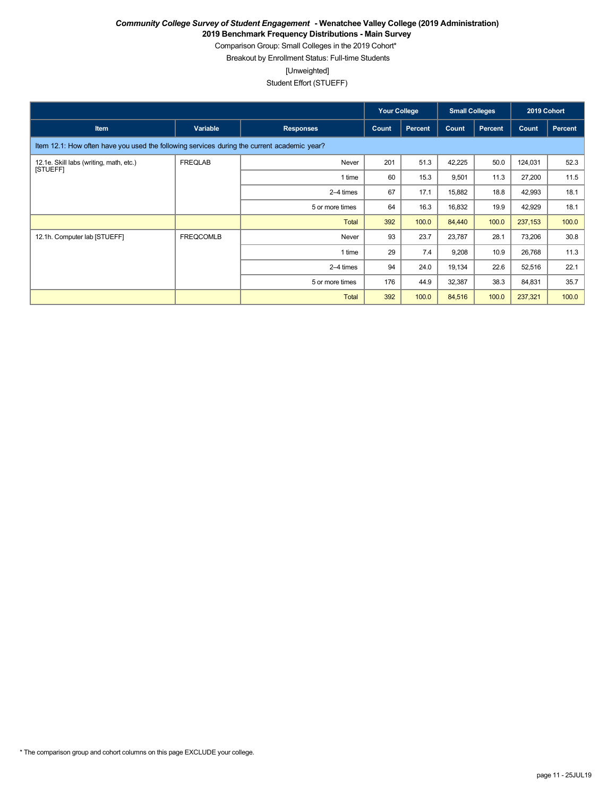**2019 Benchmark Frequency Distributions - Main Survey**

Comparison Group: Small Colleges in the 2019 Cohort\*

Breakout by Enrollment Status: Full-time Students

[Unweighted]

|                                                                                             |                  |                  | <b>Your College</b> |                | <b>Small Colleges</b> |                | 2019 Cohort |         |
|---------------------------------------------------------------------------------------------|------------------|------------------|---------------------|----------------|-----------------------|----------------|-------------|---------|
| Item                                                                                        | Variable         | <b>Responses</b> | Count               | <b>Percent</b> | Count                 | <b>Percent</b> | Count       | Percent |
| Item 12.1: How often have you used the following services during the current academic year? |                  |                  |                     |                |                       |                |             |         |
| 12.1e. Skill labs (writing, math, etc.)                                                     | <b>FREQLAB</b>   | Never            | 201                 | 51.3           | 42,225                | 50.0           | 124,031     | 52.3    |
| [STUEFF]                                                                                    |                  | 1 time           | 60                  | 15.3           | 9,501                 | 11.3           | 27,200      | 11.5    |
|                                                                                             |                  | 2-4 times        | 67                  | 17.1           | 15,882                | 18.8           | 42,993      | 18.1    |
|                                                                                             |                  | 5 or more times  | 64                  | 16.3           | 16,832                | 19.9           | 42,929      | 18.1    |
|                                                                                             |                  | Total            | 392                 | 100.0          | 84,440                | 100.0          | 237,153     | 100.0   |
| 12.1h. Computer lab [STUEFF]                                                                | <b>FREQCOMLB</b> | Never            | 93                  | 23.7           | 23,787                | 28.1           | 73,206      | 30.8    |
|                                                                                             |                  | 1 time           | 29                  | 7.4            | 9,208                 | 10.9           | 26,768      | 11.3    |
|                                                                                             |                  | 2-4 times        | 94                  | 24.0           | 19,134                | 22.6           | 52,516      | 22.1    |
|                                                                                             |                  | 5 or more times  | 176                 | 44.9           | 32,387                | 38.3           | 84,831      | 35.7    |
|                                                                                             |                  | Total            | 392                 | 100.0          | 84,516                | 100.0          | 237,321     | 100.0   |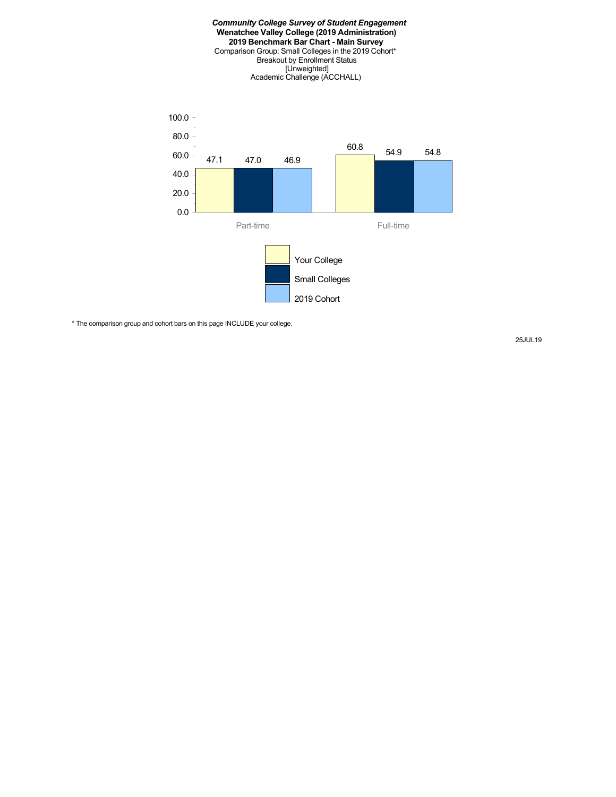

\* The comparison group and cohort bars on this page INCLUDE your college.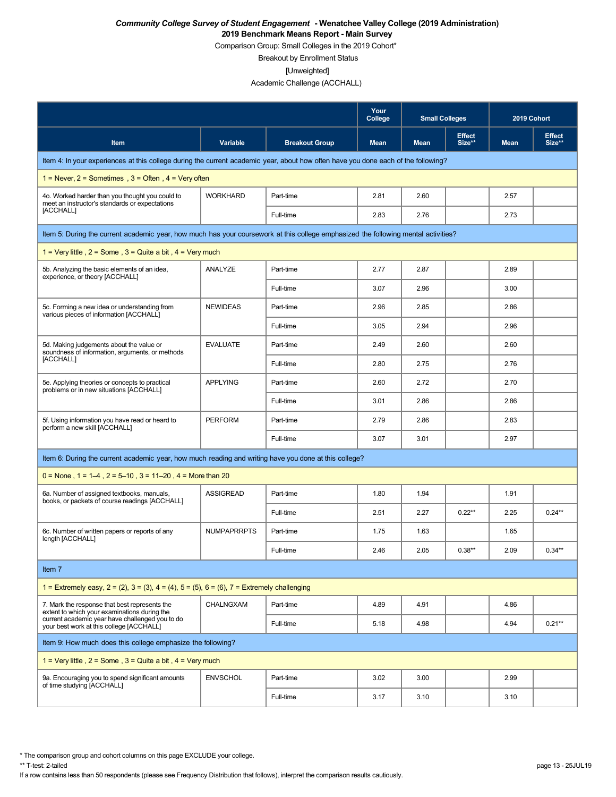Comparison Group: Small Colleges in the 2019 Cohort\*

Breakout by Enrollment Status

[Unweighted]

Academic Challenge (ACCHALL)

|                                                                                                                                    |                    |                       | Your<br>College | <b>Small Colleges</b> |                         | 2019 Cohort |                         |
|------------------------------------------------------------------------------------------------------------------------------------|--------------------|-----------------------|-----------------|-----------------------|-------------------------|-------------|-------------------------|
| Item                                                                                                                               | Variable           | <b>Breakout Group</b> | <b>Mean</b>     | <b>Mean</b>           | <b>Effect</b><br>Size** | <b>Mean</b> | <b>Effect</b><br>Size** |
| Item 4: In your experiences at this college during the current academic year, about how often have you done each of the following? |                    |                       |                 |                       |                         |             |                         |
| $1 =$ Never, $2 =$ Sometimes, $3 =$ Often, $4 =$ Very often                                                                        |                    |                       |                 |                       |                         |             |                         |
| 4o. Worked harder than you thought you could to<br>meet an instructor's standards or expectations                                  | <b>WORKHARD</b>    | Part-time             | 2.81            | 2.60                  |                         | 2.57        |                         |
| [ACCHALL]                                                                                                                          |                    | Full-time             | 2.83            | 2.76                  |                         | 2.73        |                         |
| Item 5: During the current academic year, how much has your coursework at this college emphasized the following mental activities? |                    |                       |                 |                       |                         |             |                         |
| 1 = Very little, $2$ = Some, $3$ = Quite a bit, $4$ = Very much                                                                    |                    |                       |                 |                       |                         |             |                         |
| 5b. Analyzing the basic elements of an idea,<br>experience, or theory [ACCHALL]                                                    | ANALYZE            | Part-time             | 2.77            | 2.87                  |                         | 2.89        |                         |
|                                                                                                                                    |                    | Full-time             | 3.07            | 2.96                  |                         | 3.00        |                         |
| 5c. Forming a new idea or understanding from<br>various pieces of information [ACCHALL]                                            | <b>NEWIDEAS</b>    | Part-time             | 2.96            | 2.85                  |                         | 2.86        |                         |
|                                                                                                                                    |                    | Full-time             | 3.05            | 2.94                  |                         | 2.96        |                         |
| 5d. Making judgements about the value or<br>soundness of information, arguments, or methods                                        | <b>EVALUATE</b>    | Part-time             | 2.49            | 2.60                  |                         | 2.60        |                         |
| [ACCHALL]                                                                                                                          |                    | Full-time             | 2.80            | 2.75                  |                         | 2.76        |                         |
| 5e. Applying theories or concepts to practical<br>problems or in new situations [ACCHALL]                                          | <b>APPLYING</b>    | Part-time             | 2.60            | 2.72                  |                         | 2.70        |                         |
|                                                                                                                                    |                    | Full-time             | 3.01            | 2.86                  |                         | 2.86        |                         |
| 5f. Using information you have read or heard to<br>perform a new skill [ACCHALL]                                                   | <b>PERFORM</b>     | Part-time             | 2.79            | 2.86                  |                         | 2.83        |                         |
|                                                                                                                                    |                    | Full-time             | 3.07            | 3.01                  |                         | 2.97        |                         |
| Item 6: During the current academic year, how much reading and writing have you done at this college?                              |                    |                       |                 |                       |                         |             |                         |
| $0 =$ None, 1 = 1–4, 2 = 5–10, 3 = 11–20, 4 = More than 20                                                                         |                    |                       |                 |                       |                         |             |                         |
| 6a. Number of assigned textbooks, manuals.<br>books, or packets of course readings [ACCHALL]                                       | <b>ASSIGREAD</b>   | Part-time             | 1.80            | 1.94                  |                         | 1.91        |                         |
|                                                                                                                                    |                    | Full-time             | 2.51            | 2.27                  | $0.22**$                | 2.25        | $0.24***$               |
| 6c. Number of written papers or reports of any<br>length [ACCHALL]                                                                 | <b>NUMPAPRRPTS</b> | Part-time             | 1.75            | 1.63                  |                         | 1.65        |                         |
|                                                                                                                                    |                    | Full-time             | 2.46            | 2.05                  | $0.38**$                | 2.09        | $0.34**$                |
| Item 7                                                                                                                             |                    |                       |                 |                       |                         |             |                         |
| 1 = Extremely easy, $2 = (2)$ , $3 = (3)$ , $4 = (4)$ , $5 = (5)$ , $6 = (6)$ , $7 =$ Extremely challenging                        |                    |                       |                 |                       |                         |             |                         |
| 7. Mark the response that best represents the<br>extent to which your examinations during the                                      | CHALNGXAM          | Part-time             | 4.89            | 4.91                  |                         | 4.86        |                         |
| current academic year have challenged you to do<br>your best work at this college [ACCHALL]                                        |                    | Full-time             | 5.18            | 4.98                  |                         | 4.94        | $0.21**$                |
| Item 9: How much does this college emphasize the following?                                                                        |                    |                       |                 |                       |                         |             |                         |
| 1 = Very little, $2 =$ Some, $3 =$ Quite a bit, $4 =$ Very much                                                                    |                    |                       |                 |                       |                         |             |                         |
| 9a. Encouraging you to spend significant amounts<br>of time studying [ACCHALL]                                                     | <b>ENVSCHOL</b>    | Part-time             | 3.02            | 3.00                  |                         | 2.99        |                         |
|                                                                                                                                    |                    | Full-time             | 3.17            | 3.10                  |                         | 3.10        |                         |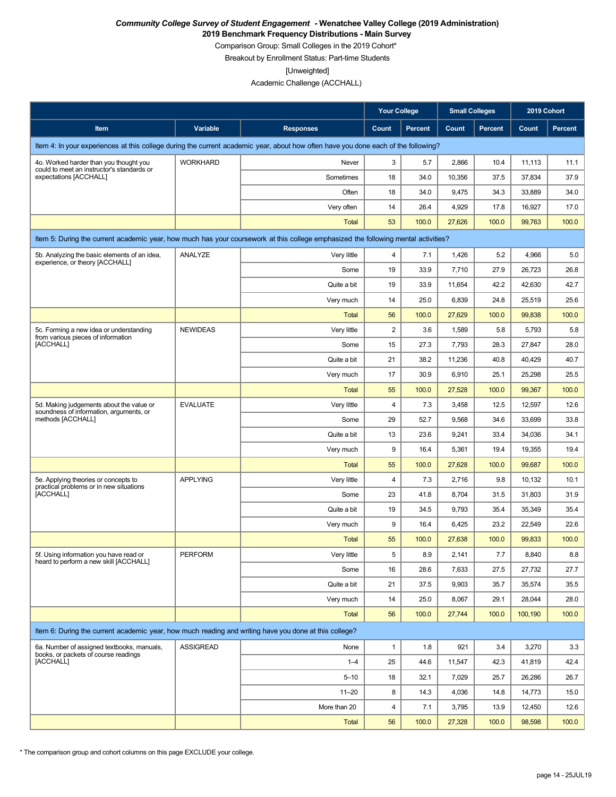**2019 Benchmark Frequency Distributions - Main Survey**

Comparison Group: Small Colleges in the 2019 Cohort\* Breakout by Enrollment Status: Part-time Students

[Unweighted]

Academic Challenge (ACCHALL)

|                                                                                                                                    |                  |                      | <b>Your College</b> |              | <b>Small Colleges</b> |                | 2019 Cohort     |                 |
|------------------------------------------------------------------------------------------------------------------------------------|------------------|----------------------|---------------------|--------------|-----------------------|----------------|-----------------|-----------------|
| Item                                                                                                                               | Variable         | <b>Responses</b>     | Count               | Percent      | Count                 | <b>Percent</b> | Count           | <b>Percent</b>  |
| Item 4: In your experiences at this college during the current academic year, about how often have you done each of the following? |                  |                      |                     |              |                       |                |                 |                 |
| 4o. Worked harder than you thought you                                                                                             | <b>WORKHARD</b>  | Never                | 3                   | 5.7          | 2,866                 | 10.4           | 11,113          | 11.1            |
| could to meet an instructor's standards or<br>expectations [ACCHALL]                                                               |                  | Sometimes            | 18                  | 34.0         | 10,356                | 37.5           | 37,834          | 37.9            |
|                                                                                                                                    |                  | Often                | 18                  | 34.0         | 9,475                 | 34.3           | 33,889          | 34.0            |
|                                                                                                                                    |                  | Very often           | 14                  | 26.4         | 4,929                 | 17.8           | 16,927          | 17.0            |
|                                                                                                                                    |                  | Total                | 53                  | 100.0        | 27,626                | 100.0          | 99,763          | 100.0           |
| Item 5: During the current academic year, how much has your coursework at this college emphasized the following mental activities? |                  |                      |                     |              |                       |                |                 |                 |
| 5b. Analyzing the basic elements of an idea,                                                                                       | ANALYZE          | Very little          | 4                   | 7.1          | 1,426                 | 5.2            | 4,966           | 5.0             |
| experience, or theory [ACCHALL]                                                                                                    |                  | Some                 | 19                  | 33.9         | 7,710                 | 27.9           | 26,723          | 26.8            |
|                                                                                                                                    |                  | Quite a bit          | 19                  | 33.9         | 11,654                | 42.2           | 42,630          | 42.7            |
|                                                                                                                                    |                  | Very much            | 14                  | 25.0         | 6,839                 | 24.8           | 25,519          | 25.6            |
|                                                                                                                                    |                  | Total                | 56                  | 100.0        | 27,629                | 100.0          | 99,838          | 100.0           |
| 5c. Forming a new idea or understanding<br>from various pieces of information                                                      | <b>NEWIDEAS</b>  | Very little          | 2                   | 3.6          | 1,589                 | 5.8            | 5,793           | 5.8             |
| [ACCHALL]                                                                                                                          |                  | Some                 | 15                  | 27.3         | 7,793                 | 28.3           | 27,847          | 28.0            |
|                                                                                                                                    |                  | Quite a bit          | 21                  | 38.2         | 11,236                | 40.8           | 40,429          | 40.7            |
|                                                                                                                                    |                  | Very much            | 17                  | 30.9         | 6,910                 | 25.1           | 25,298          | 25.5            |
|                                                                                                                                    |                  | <b>Total</b>         | 55                  | 100.0        | 27,528                | 100.0          | 99,367          | 100.0           |
| 5d. Making judgements about the value or<br>soundness of information, arguments, or                                                | <b>EVALUATE</b>  | Very little          | 4                   | 7.3          | 3,458                 | 12.5           | 12,597          | 12.6            |
| methods [ACCHALL]                                                                                                                  |                  | Some                 | 29                  | 52.7         | 9,568                 | 34.6           | 33,699          | 33.8            |
|                                                                                                                                    |                  | Quite a bit          | 13                  | 23.6         | 9,241                 | 33.4           | 34,036          | 34.1            |
|                                                                                                                                    |                  | Very much            | 9                   | 16.4         | 5,361                 | 19.4           | 19,355          | 19.4            |
|                                                                                                                                    |                  | <b>Total</b>         | 55                  | 100.0        | 27,628                | 100.0          | 99,687          | 100.0           |
| 5e. Applying theories or concepts to<br>practical problems or in new situations                                                    | <b>APPLYING</b>  | Very little          | 4                   | 7.3          | 2,716                 | 9.8            | 10,132          | 10.1            |
| [ACCHALL]                                                                                                                          |                  | Some                 | 23                  | 41.8         | 8,704                 | 31.5           | 31,803          | 31.9            |
|                                                                                                                                    |                  | Quite a bit          | 19                  | 34.5         | 9,793                 | 35.4           | 35,349          | 35.4            |
|                                                                                                                                    |                  | Very much            | 9                   | 16.4         | 6,425                 | 23.2           | 22,549          | 22.6            |
|                                                                                                                                    | <b>PERFORM</b>   | Total<br>Very little | 55<br>5             | 100.0<br>8.9 | 27,638<br>2,141       | 100.0<br>7.7   | 99,833<br>8,840 | 100.0           |
| 5f. Using information you have read or<br>heard to perform a new skill [ACCHALL]                                                   |                  | Some                 | 16                  | 28.6         | 7,633                 | 27.5           | 27,732          | $8.8\,$<br>27.7 |
|                                                                                                                                    |                  | Quite a bit          | 21                  | 37.5         | 9,903                 | 35.7           | 35,574          | 35.5            |
|                                                                                                                                    |                  | Very much            | 14                  | 25.0         | 8,067                 | 29.1           | 28,044          | 28.0            |
|                                                                                                                                    |                  | <b>Total</b>         | 56                  | 100.0        | 27,744                | 100.0          | 100,190         | 100.0           |
| Item 6: During the current academic year, how much reading and writing have you done at this college?                              |                  |                      |                     |              |                       |                |                 |                 |
| 6a. Number of assigned textbooks, manuals,                                                                                         | <b>ASSIGREAD</b> | None                 | 1                   | 1.8          | 921                   | 3.4            | 3,270           |                 |
| books, or packets of course readings<br>[ACCHALL]                                                                                  |                  | $1 - 4$              | 25                  | 44.6         | 11,547                | 42.3           | 41,819          | 3.3<br>42.4     |
|                                                                                                                                    |                  | $5 - 10$             | 18                  | 32.1         | 7,029                 | 25.7           | 26,286          | 26.7            |
|                                                                                                                                    |                  | $11 - 20$            | 8                   | 14.3         | 4,036                 | 14.8           | 14,773          | 15.0            |
|                                                                                                                                    |                  | More than 20         | 4                   | 7.1          | 3,795                 | 13.9           | 12,450          | 12.6            |
|                                                                                                                                    |                  | <b>Total</b>         | 56                  | 100.0        | 27,328                | 100.0          | 98,598          | 100.0           |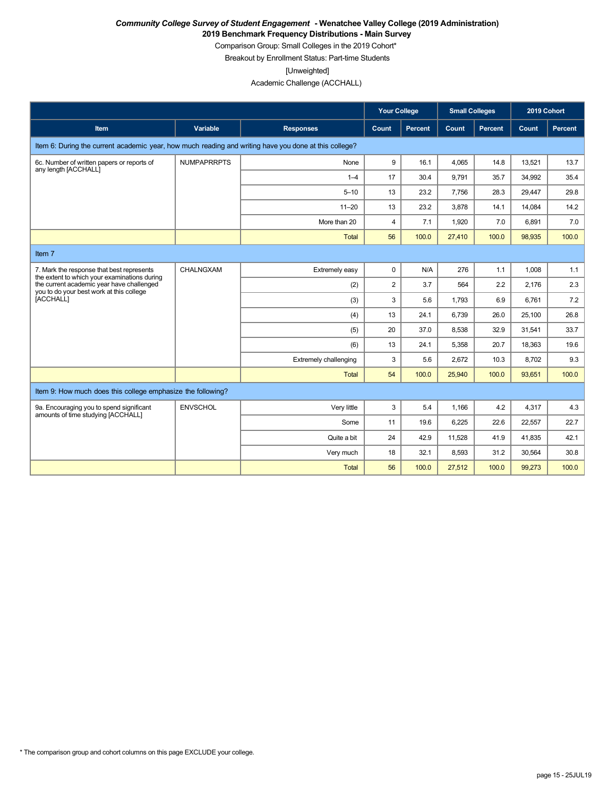**2019 Benchmark Frequency Distributions - Main Survey**

Comparison Group: Small Colleges in the 2019 Cohort\*

Breakout by Enrollment Status: Part-time Students

[Unweighted]

Academic Challenge (ACCHALL)

|                                                                                                                                                                                                 |                    |                              | <b>Your College</b> |         | <b>Small Colleges</b> |                | 2019 Cohort |         |
|-------------------------------------------------------------------------------------------------------------------------------------------------------------------------------------------------|--------------------|------------------------------|---------------------|---------|-----------------------|----------------|-------------|---------|
| <b>Item</b>                                                                                                                                                                                     | Variable           | <b>Responses</b>             | Count               | Percent | Count                 | <b>Percent</b> | Count       | Percent |
| Item 6: During the current academic year, how much reading and writing have you done at this college?                                                                                           |                    |                              |                     |         |                       |                |             |         |
| 6c. Number of written papers or reports of<br>any length [ACCHALL]                                                                                                                              | <b>NUMPAPRRPTS</b> | None                         | 9                   | 16.1    | 4.065                 | 14.8           | 13,521      | 13.7    |
|                                                                                                                                                                                                 |                    | $1 - 4$                      | 17                  | 30.4    | 9.791                 | 35.7           | 34,992      | 35.4    |
|                                                                                                                                                                                                 |                    | $5 - 10$                     | 13                  | 23.2    | 7.756                 | 28.3           | 29,447      | 29.8    |
|                                                                                                                                                                                                 |                    | $11 - 20$                    | 13                  | 23.2    | 3.878                 | 14.1           | 14,084      | 14.2    |
|                                                                                                                                                                                                 |                    | More than 20                 | $\overline{4}$      | 7.1     | 1.920                 | 7.0            | 6.891       | 7.0     |
|                                                                                                                                                                                                 |                    | Total                        | 56                  | 100.0   | 27,410                | 100.0          | 98,935      | 100.0   |
| Item 7                                                                                                                                                                                          |                    |                              |                     |         |                       |                |             |         |
| 7. Mark the response that best represents<br>the extent to which your examinations during<br>the current academic year have challenged<br>you to do your best work at this college<br>[ACCHALL] | CHALNGXAM          | Extremely easy               | $\mathbf 0$         | N/A     | 276                   | 1.1            | 1.008       | 1.1     |
|                                                                                                                                                                                                 |                    | (2)                          | $\overline{2}$      | 3.7     | 564                   | 2.2            | 2.176       | 2.3     |
|                                                                                                                                                                                                 |                    | (3)                          | 3                   | 5.6     | 1,793                 | 6.9            | 6,761       | 7.2     |
|                                                                                                                                                                                                 |                    | (4)                          | 13                  | 24.1    | 6,739                 | 26.0           | 25,100      | 26.8    |
|                                                                                                                                                                                                 |                    | (5)                          | 20                  | 37.0    | 8,538                 | 32.9           | 31,541      | 33.7    |
|                                                                                                                                                                                                 |                    | (6)                          | 13                  | 24.1    | 5,358                 | 20.7           | 18,363      | 19.6    |
|                                                                                                                                                                                                 |                    | <b>Extremely challenging</b> | 3                   | 5.6     | 2.672                 | 10.3           | 8.702       | 9.3     |
|                                                                                                                                                                                                 |                    | <b>Total</b>                 | 54                  | 100.0   | 25,940                | 100.0          | 93,651      | 100.0   |
| Item 9: How much does this college emphasize the following?                                                                                                                                     |                    |                              |                     |         |                       |                |             |         |
| 9a. Encouraging you to spend significant<br>amounts of time studying [ACCHALL]                                                                                                                  | <b>ENVSCHOL</b>    | Very little                  | 3                   | 5.4     | 1.166                 | 4.2            | 4,317       | 4.3     |
|                                                                                                                                                                                                 |                    | Some                         | 11                  | 19.6    | 6.225                 | 22.6           | 22,557      | 22.7    |
|                                                                                                                                                                                                 |                    | Quite a bit                  | 24                  | 42.9    | 11,528                | 41.9           | 41,835      | 42.1    |
|                                                                                                                                                                                                 |                    | Very much                    | 18                  | 32.1    | 8,593                 | 31.2           | 30,564      | 30.8    |
|                                                                                                                                                                                                 |                    | <b>Total</b>                 | 56                  | 100.0   | 27,512                | 100.0          | 99,273      | 100.0   |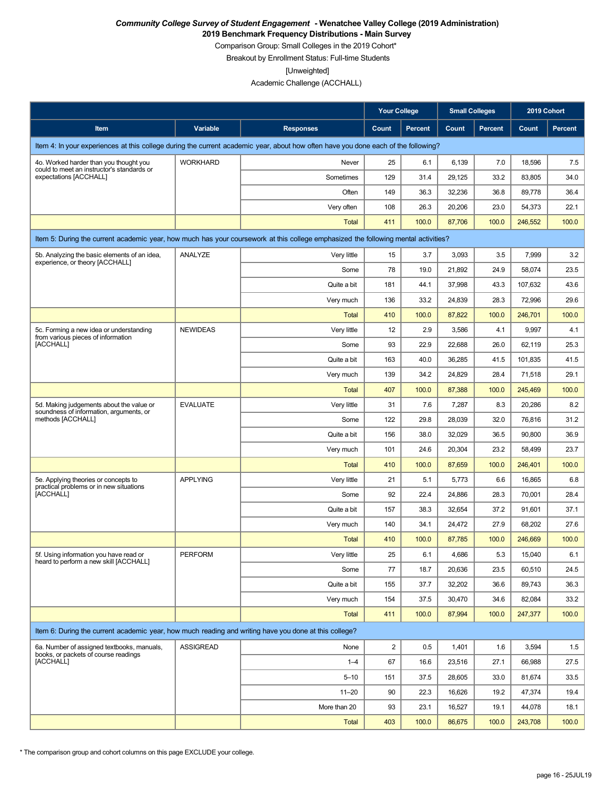**2019 Benchmark Frequency Distributions - Main Survey**

Comparison Group: Small Colleges in the 2019 Cohort\*

Breakout by Enrollment Status: Full-time Students

[Unweighted]

Academic Challenge (ACCHALL)

|                                                                                                                                    |                  |                  | <b>Your College</b>     |                | <b>Small Colleges</b> |                | 2019 Cohort |                |
|------------------------------------------------------------------------------------------------------------------------------------|------------------|------------------|-------------------------|----------------|-----------------------|----------------|-------------|----------------|
| Item                                                                                                                               | Variable         | <b>Responses</b> | Count                   | <b>Percent</b> | Count                 | <b>Percent</b> | Count       | <b>Percent</b> |
| Item 4: In your experiences at this college during the current academic year, about how often have you done each of the following? |                  |                  |                         |                |                       |                |             |                |
| 4o. Worked harder than you thought you                                                                                             | <b>WORKHARD</b>  | Never            | 25                      | 6.1            | 6,139                 | 7.0            | 18,596      | 7.5            |
| could to meet an instructor's standards or<br>expectations [ACCHALL]                                                               |                  | Sometimes        | 129                     | 31.4           | 29,125                | 33.2           | 83,805      | 34.0           |
|                                                                                                                                    |                  | Often            | 149                     | 36.3           | 32,236                | 36.8           | 89,778      | 36.4           |
|                                                                                                                                    |                  | Very often       | 108                     | 26.3           | 20,206                | 23.0           | 54,373      | 22.1           |
|                                                                                                                                    |                  | Total            | 411                     | 100.0          | 87,706                | 100.0          | 246,552     | 100.0          |
| Item 5: During the current academic year, how much has your coursework at this college emphasized the following mental activities? |                  |                  |                         |                |                       |                |             |                |
| 5b. Analyzing the basic elements of an idea,                                                                                       | ANALYZE          | Very little      | 15                      | 3.7            | 3,093                 | 3.5            | 7,999       | 3.2            |
| experience, or theory [ACCHALL]                                                                                                    |                  | Some             | 78                      | 19.0           | 21,892                | 24.9           | 58,074      | 23.5           |
|                                                                                                                                    |                  | Quite a bit      | 181                     | 44.1           | 37,998                | 43.3           | 107,632     | 43.6           |
|                                                                                                                                    |                  | Very much        | 136                     | 33.2           | 24,839                | 28.3           | 72,996      | 29.6           |
|                                                                                                                                    |                  | <b>Total</b>     | 410                     | 100.0          | 87,822                | 100.0          | 246,701     | 100.0          |
| 5c. Forming a new idea or understanding<br>from various pieces of information                                                      | <b>NEWIDEAS</b>  | Very little      | 12                      | 2.9            | 3,586                 | 4.1            | 9,997       | 4.1            |
| [ACCHALL]                                                                                                                          |                  | Some             | 93                      | 22.9           | 22,688                | 26.0           | 62,119      | 25.3           |
|                                                                                                                                    |                  | Quite a bit      | 163                     | 40.0           | 36,285                | 41.5           | 101,835     | 41.5           |
|                                                                                                                                    |                  | Very much        | 139                     | 34.2           | 24,829                | 28.4           | 71,518      | 29.1           |
|                                                                                                                                    |                  | Total            | 407                     | 100.0          | 87,388                | 100.0          | 245,469     | 100.0          |
| 5d. Making judgements about the value or<br>soundness of information, arguments, or                                                | <b>EVALUATE</b>  | Very little      | 31                      | 7.6            | 7,287                 | 8.3            | 20,286      | 8.2            |
| methods [ACCHALL]                                                                                                                  |                  | Some             | 122                     | 29.8           | 28,039                | 32.0           | 76,816      | 31.2           |
|                                                                                                                                    |                  | Quite a bit      | 156                     | 38.0           | 32,029                | 36.5           | 90,800      | 36.9           |
|                                                                                                                                    |                  | Very much        | 101                     | 24.6           | 20,304                | 23.2           | 58,499      | 23.7           |
|                                                                                                                                    |                  | <b>Total</b>     | 410                     | 100.0          | 87,659                | 100.0          | 246,401     | 100.0          |
| 5e. Applying theories or concepts to<br>practical problems or in new situations                                                    | <b>APPLYING</b>  | Very little      | 21                      | 5.1            | 5,773                 | 6.6            | 16,865      | 6.8            |
| [ACCHALL]                                                                                                                          |                  | Some             | 92                      | 22.4           | 24,886                | 28.3           | 70,001      | 28.4           |
|                                                                                                                                    |                  | Quite a bit      | 157                     | 38.3           | 32,654                | 37.2           | 91,601      | 37.1           |
|                                                                                                                                    |                  | Very much        | 140                     | 34.1           | 24,472                | 27.9           | 68,202      | 27.6           |
|                                                                                                                                    |                  | Total            | 410                     | 100.0          | 87,785                | 100.0          | 246,669     | 100.0          |
| 5f. Using information you have read or<br>heard to perform a new skill [ACCHALL]                                                   | PERFORM          | Very little      | 25                      | 6.1            | 4,686                 | 5.3            | 15,040      | $6.1\,$        |
|                                                                                                                                    |                  | Some             | 77                      | 18.7           | 20,636                | 23.5           | 60,510      | 24.5           |
|                                                                                                                                    |                  | Quite a bit      | 155                     | 37.7           | 32,202                | 36.6           | 89,743      | 36.3           |
|                                                                                                                                    |                  | Very much        | 154                     | 37.5           | 30,470                | 34.6           | 82,084      | 33.2           |
|                                                                                                                                    |                  | Total            | 411                     | 100.0          | 87,994                | 100.0          | 247.377     | 100.0          |
| Item 6: During the current academic year, how much reading and writing have you done at this college?                              |                  |                  |                         |                |                       |                |             |                |
| 6a. Number of assigned textbooks, manuals,<br>books, or packets of course readings                                                 | <b>ASSIGREAD</b> | None             | $\overline{\mathbf{c}}$ | 0.5            | 1,401                 | 1.6            | 3,594       | 1.5            |
| [ACCHALL]                                                                                                                          |                  | $1 - 4$          | 67                      | 16.6           | 23,516                | 27.1           | 66,988      | 27.5           |
|                                                                                                                                    |                  | $5 - 10$         | 151                     | 37.5           | 28,605                | 33.0           | 81,674      | 33.5           |
|                                                                                                                                    |                  | $11 - 20$        | 90                      | 22.3           | 16,626                | 19.2           | 47,374      | 19.4           |
|                                                                                                                                    |                  | More than 20     | 93                      | 23.1           | 16,527                | 19.1           | 44,078      | 18.1           |
|                                                                                                                                    |                  | <b>Total</b>     | 403                     | 100.0          | 86,675                | 100.0          | 243,708     | 100.0          |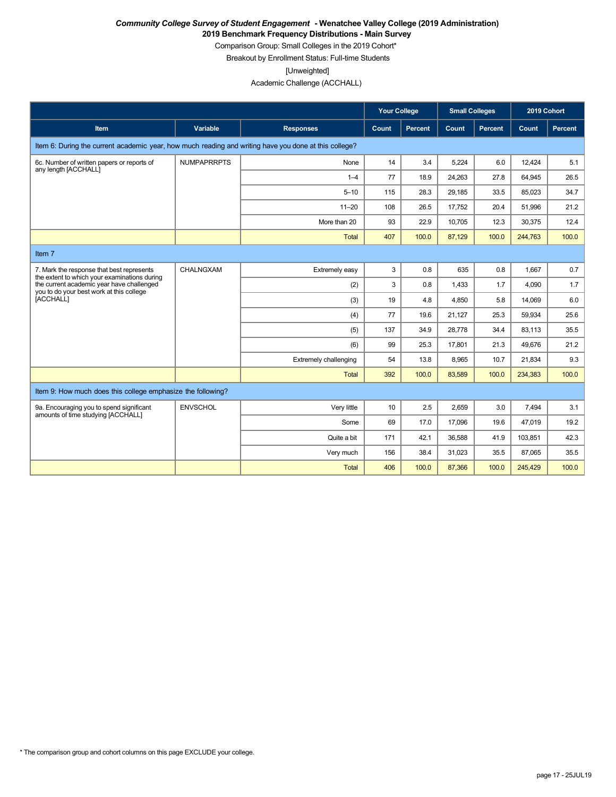**2019 Benchmark Frequency Distributions - Main Survey**

Comparison Group: Small Colleges in the 2019 Cohort\* Breakout by Enrollment Status: Full-time Students

[Unweighted]

Academic Challenge (ACCHALL)

|                                                                                                       |                    |                       | <b>Your College</b> |         |        | <b>Small Colleges</b> |         | 2019 Cohort |
|-------------------------------------------------------------------------------------------------------|--------------------|-----------------------|---------------------|---------|--------|-----------------------|---------|-------------|
| Item                                                                                                  | Variable           | <b>Responses</b>      | Count               | Percent | Count  | <b>Percent</b>        | Count   | Percent     |
| Item 6: During the current academic year, how much reading and writing have you done at this college? |                    |                       |                     |         |        |                       |         |             |
| 6c. Number of written papers or reports of<br>any length [ACCHALL]                                    | <b>NUMPAPRRPTS</b> | None                  | 14                  | 3.4     | 5,224  | 6.0                   | 12,424  | 5.1         |
|                                                                                                       |                    | $1 - 4$               | 77                  | 18.9    | 24,263 | 27.8                  | 64,945  | 26.5        |
|                                                                                                       |                    | $5 - 10$              | 115                 | 28.3    | 29,185 | 33.5                  | 85,023  | 34.7        |
|                                                                                                       |                    | $11 - 20$             | 108                 | 26.5    | 17,752 | 20.4                  | 51,996  | 21.2        |
|                                                                                                       |                    | More than 20          | 93                  | 22.9    | 10,705 | 12.3                  | 30,375  | 12.4        |
|                                                                                                       |                    | <b>Total</b>          | 407                 | 100.0   | 87,129 | 100.0                 | 244,763 | 100.0       |
| Item 7                                                                                                |                    |                       |                     |         |        |                       |         |             |
| 7. Mark the response that best represents<br>the extent to which your examinations during             | CHALNGXAM          | Extremely easy        | 3                   | 0.8     | 635    | 0.8                   | 1.667   | 0.7         |
| the current academic year have challenged<br>you to do your best work at this college                 |                    | (2)                   | 3                   | 0.8     | 1.433  | 1.7                   | 4.090   | 1.7         |
| [ACCHALL]                                                                                             |                    | (3)                   | 19                  | 4.8     | 4.850  | 5.8                   | 14.069  | 6.0         |
|                                                                                                       |                    | (4)                   | 77                  | 19.6    | 21,127 | 25.3                  | 59.934  | 25.6        |
|                                                                                                       |                    | (5)                   | 137                 | 34.9    | 28.778 | 34.4                  | 83.113  | 35.5        |
|                                                                                                       |                    | (6)                   | 99                  | 25.3    | 17.801 | 21.3                  | 49.676  | 21.2        |
|                                                                                                       |                    | Extremely challenging | 54                  | 13.8    | 8.965  | 10.7                  | 21,834  | 9.3         |
|                                                                                                       |                    | <b>Total</b>          | 392                 | 100.0   | 83,589 | 100.0                 | 234,383 | 100.0       |
| Item 9: How much does this college emphasize the following?                                           |                    |                       |                     |         |        |                       |         |             |
| 9a. Encouraging you to spend significant<br>amounts of time studying [ACCHALL]                        | <b>ENVSCHOL</b>    | Very little           | 10                  | 2.5     | 2,659  | 3.0                   | 7,494   | 3.1         |
|                                                                                                       |                    | Some                  | 69                  | 17.0    | 17,096 | 19.6                  | 47,019  | 19.2        |
|                                                                                                       |                    | Quite a bit           | 171                 | 42.1    | 36,588 | 41.9                  | 103,851 | 42.3        |
|                                                                                                       |                    | Very much             | 156                 | 38.4    | 31,023 | 35.5                  | 87,065  | 35.5        |
|                                                                                                       |                    | Total                 | 406                 | 100.0   | 87,366 | 100.0                 | 245,429 | 100.0       |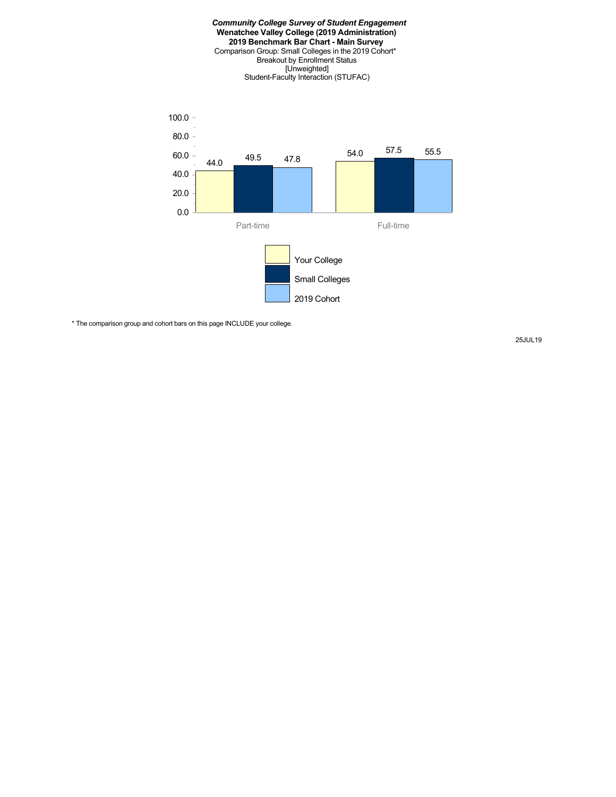#### *Community College Survey of Student Engagement* **Wenatchee Valley College (2019 Administration) 2019 Benchmark Bar Chart - Main Survey** Comparison Group: Small Colleges in the 2019 Cohort\* Breakout by Enrollment Status [Unweighted] Student-Faculty Interaction (STUFAC)



\* The comparison group and cohort bars on this page INCLUDE your college.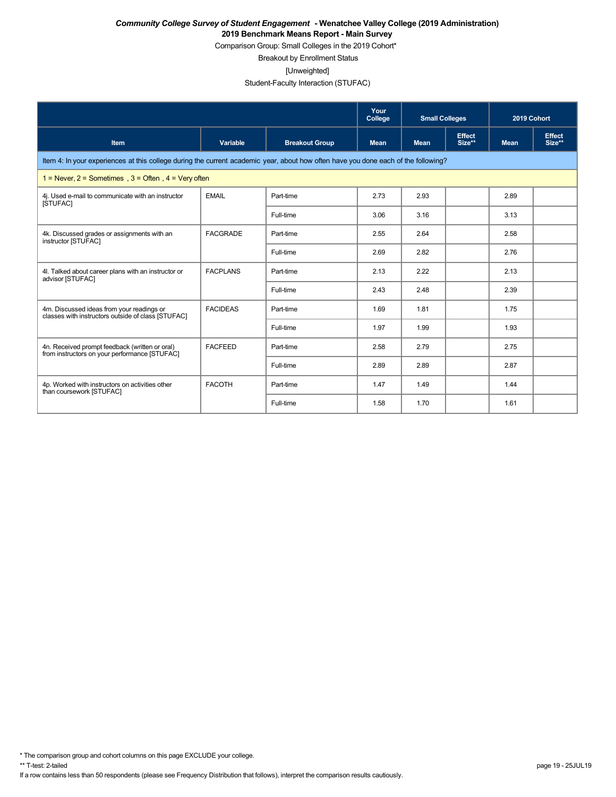Comparison Group: Small Colleges in the 2019 Cohort\*

Breakout by Enrollment Status

[Unweighted]

### Student-Faculty Interaction (STUFAC)

|                                                                                                                                    |                 |                       | Your<br>College | <b>Small Colleges</b> |                         | 2019 Cohort |                         |  |  |  |  |
|------------------------------------------------------------------------------------------------------------------------------------|-----------------|-----------------------|-----------------|-----------------------|-------------------------|-------------|-------------------------|--|--|--|--|
| <b>Item</b>                                                                                                                        | <b>Variable</b> | <b>Breakout Group</b> | <b>Mean</b>     | <b>Mean</b>           | <b>Effect</b><br>Size** | <b>Mean</b> | <b>Effect</b><br>Size** |  |  |  |  |
| Item 4: In your experiences at this college during the current academic year, about how often have you done each of the following? |                 |                       |                 |                       |                         |             |                         |  |  |  |  |
| 1 = Never, $2$ = Sometimes, $3$ = Often, $4$ = Very often                                                                          |                 |                       |                 |                       |                         |             |                         |  |  |  |  |
| 4j. Used e-mail to communicate with an instructor<br>[STUFAC]                                                                      | <b>EMAIL</b>    | Part-time             | 2.73            | 2.93                  |                         | 2.89        |                         |  |  |  |  |
|                                                                                                                                    |                 | Full-time             | 3.06            | 3.16                  |                         | 3.13        |                         |  |  |  |  |
| 4k. Discussed grades or assignments with an<br>instructor [STUFAC]                                                                 | <b>FACGRADE</b> | Part-time             | 2.55            | 2.64                  |                         | 2.58        |                         |  |  |  |  |
|                                                                                                                                    |                 | Full-time             | 2.69            | 2.82                  |                         | 2.76        |                         |  |  |  |  |
| 4I. Talked about career plans with an instructor or<br>advisor [STUFAC]                                                            | <b>FACPLANS</b> | Part-time             | 2.13            | 2.22                  |                         | 2.13        |                         |  |  |  |  |
|                                                                                                                                    |                 | Full-time             | 2.43            | 2.48                  |                         | 2.39        |                         |  |  |  |  |
| 4m. Discussed ideas from your readings or<br>classes with instructors outside of class [STUFAC]                                    | <b>FACIDEAS</b> | Part-time             | 1.69            | 1.81                  |                         | 1.75        |                         |  |  |  |  |
|                                                                                                                                    |                 | Full-time             | 1.97            | 1.99                  |                         | 1.93        |                         |  |  |  |  |
| 4n. Received prompt feedback (written or oral)<br>from instructors on your performance [STUFAC]                                    | <b>FACFEED</b>  | Part-time             | 2.58            | 2.79                  |                         | 2.75        |                         |  |  |  |  |
|                                                                                                                                    |                 | Full-time             | 2.89            | 2.89                  |                         | 2.87        |                         |  |  |  |  |
| 4p. Worked with instructors on activities other<br>than coursework [STUFAC]                                                        | <b>FACOTH</b>   | Part-time             | 1.47            | 1.49                  |                         | 1.44        |                         |  |  |  |  |
|                                                                                                                                    |                 | Full-time             | 1.58            | 1.70                  |                         | 1.61        |                         |  |  |  |  |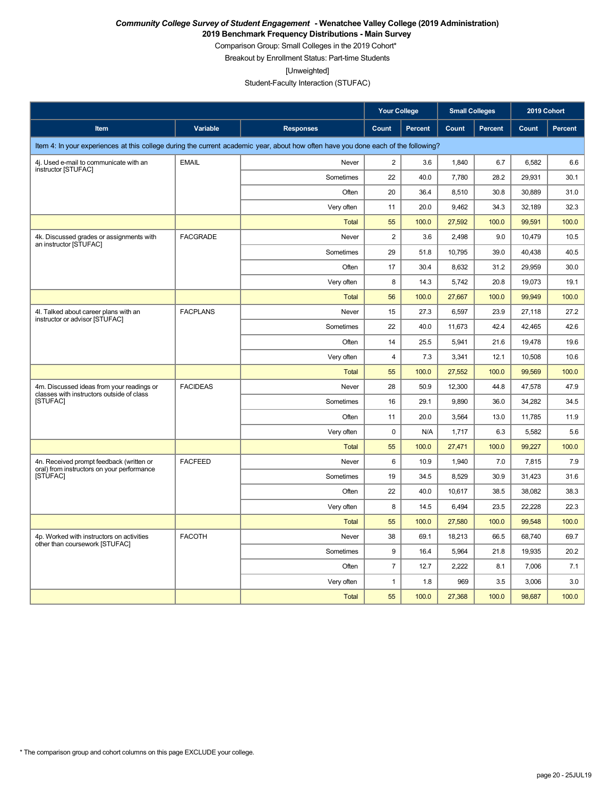**2019 Benchmark Frequency Distributions - Main Survey**

Comparison Group: Small Colleges in the 2019 Cohort\* Breakout by Enrollment Status: Part-time Students

[Unweighted]

Student-Faculty Interaction (STUFAC)

|                                                                                                                                    |                 | <b>Your College</b> |                         | <b>Small Colleges</b> |        | 2019 Cohort    |        |                |
|------------------------------------------------------------------------------------------------------------------------------------|-----------------|---------------------|-------------------------|-----------------------|--------|----------------|--------|----------------|
| <b>Item</b>                                                                                                                        | Variable        | <b>Responses</b>    | Count                   | Percent               | Count  | <b>Percent</b> | Count  | <b>Percent</b> |
| Item 4: In your experiences at this college during the current academic year, about how often have you done each of the following? |                 |                     |                         |                       |        |                |        |                |
| 4j. Used e-mail to communicate with an<br>instructor [STUFAC]                                                                      | <b>EMAIL</b>    | Never               | $\overline{2}$          | 3.6                   | 1.840  | 6.7            | 6.582  | 6.6            |
|                                                                                                                                    |                 | Sometimes           | 22                      | 40.0                  | 7.780  | 28.2           | 29,931 | 30.1           |
|                                                                                                                                    |                 | Often               | 20                      | 36.4                  | 8.510  | 30.8           | 30,889 | 31.0           |
|                                                                                                                                    |                 | Very often          | 11                      | 20.0                  | 9,462  | 34.3           | 32,189 | 32.3           |
|                                                                                                                                    |                 | <b>Total</b>        | 55                      | 100.0                 | 27,592 | 100.0          | 99,591 | 100.0          |
| 4k. Discussed grades or assignments with<br>an instructor [STUFAC]                                                                 | <b>FACGRADE</b> | Never               | $\overline{\mathbf{c}}$ | 3.6                   | 2,498  | 9.0            | 10,479 | 10.5           |
|                                                                                                                                    |                 | Sometimes           | 29                      | 51.8                  | 10,795 | 39.0           | 40,438 | 40.5           |
|                                                                                                                                    |                 | Often               | 17                      | 30.4                  | 8,632  | 31.2           | 29,959 | 30.0           |
|                                                                                                                                    |                 | Very often          | 8                       | 14.3                  | 5,742  | 20.8           | 19,073 | 19.1           |
|                                                                                                                                    |                 | <b>Total</b>        | 56                      | 100.0                 | 27,667 | 100.0          | 99,949 | 100.0          |
| 4I. Talked about career plans with an<br>instructor or advisor [STUFAC]                                                            | <b>FACPLANS</b> | Never               | 15                      | 27.3                  | 6,597  | 23.9           | 27,118 | 27.2           |
|                                                                                                                                    |                 | Sometimes           | 22                      | 40.0                  | 11,673 | 42.4           | 42,465 | 42.6           |
|                                                                                                                                    |                 | Often               | 14                      | 25.5                  | 5,941  | 21.6           | 19,478 | 19.6           |
|                                                                                                                                    |                 | Very often          | 4                       | 7.3                   | 3,341  | 12.1           | 10,508 | 10.6           |
|                                                                                                                                    |                 | <b>Total</b>        | 55                      | 100.0                 | 27,552 | 100.0          | 99,569 | 100.0          |
| 4m. Discussed ideas from your readings or<br>classes with instructors outside of class                                             | <b>FACIDEAS</b> | Never               | 28                      | 50.9                  | 12,300 | 44.8           | 47,578 | 47.9           |
| [STUFAC]                                                                                                                           |                 | Sometimes           | 16                      | 29.1                  | 9,890  | 36.0           | 34,282 | 34.5           |
|                                                                                                                                    |                 | Often               | 11                      | 20.0                  | 3,564  | 13.0           | 11,785 | 11.9           |
|                                                                                                                                    |                 | Very often          | 0                       | N/A                   | 1,717  | 6.3            | 5,582  | 5.6            |
|                                                                                                                                    |                 | <b>Total</b>        | 55                      | 100.0                 | 27,471 | 100.0          | 99,227 | 100.0          |
| 4n. Received prompt feedback (written or<br>oral) from instructors on your performance                                             | <b>FACFEED</b>  | Never               | 6                       | 10.9                  | 1,940  | 7.0            | 7,815  | 7.9            |
| [STUFAC]                                                                                                                           |                 | Sometimes           | 19                      | 34.5                  | 8,529  | 30.9           | 31,423 | 31.6           |
|                                                                                                                                    |                 | Often               | 22                      | 40.0                  | 10,617 | 38.5           | 38,082 | 38.3           |
|                                                                                                                                    |                 | Very often          | 8                       | 14.5                  | 6,494  | 23.5           | 22,228 | 22.3           |
|                                                                                                                                    |                 | <b>Total</b>        | 55                      | 100.0                 | 27,580 | 100.0          | 99,548 | 100.0          |
| 4p. Worked with instructors on activities<br>other than coursework [STUFAC]                                                        | <b>FACOTH</b>   | Never               | 38                      | 69.1                  | 18,213 | 66.5           | 68,740 | 69.7           |
|                                                                                                                                    |                 | Sometimes           | 9                       | 16.4                  | 5,964  | 21.8           | 19,935 | 20.2           |
|                                                                                                                                    |                 | Often               | $\overline{7}$          | 12.7                  | 2,222  | 8.1            | 7,006  | 7.1            |
|                                                                                                                                    |                 | Very often          | $\mathbf{1}$            | 1.8                   | 969    | 3.5            | 3,006  | 3.0            |
|                                                                                                                                    |                 | <b>Total</b>        | 55                      | 100.0                 | 27,368 | 100.0          | 98,687 | 100.0          |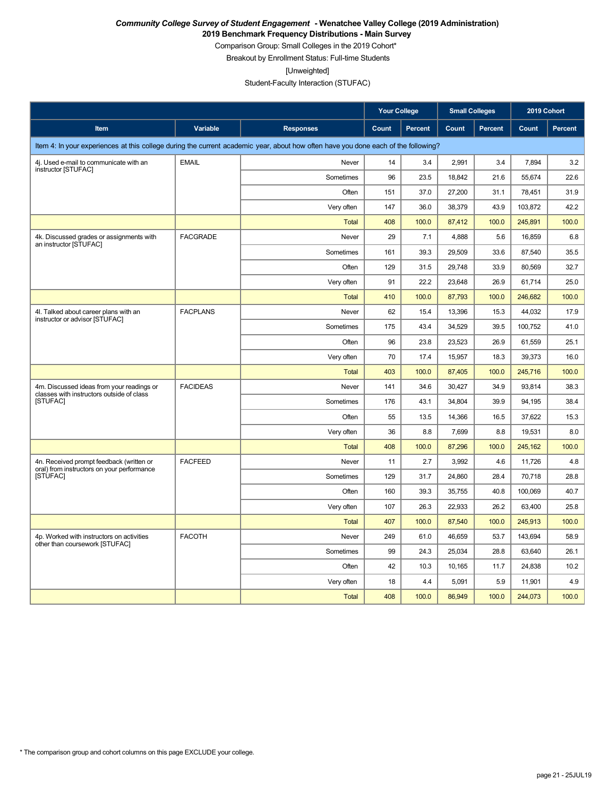**2019 Benchmark Frequency Distributions - Main Survey**

Comparison Group: Small Colleges in the 2019 Cohort\* Breakout by Enrollment Status: Full-time Students

[Unweighted]

Student-Faculty Interaction (STUFAC)

|                                                                                                                                    |                 | <b>Your College</b> |       | <b>Small Colleges</b> |        | 2019 Cohort    |         |                |
|------------------------------------------------------------------------------------------------------------------------------------|-----------------|---------------------|-------|-----------------------|--------|----------------|---------|----------------|
| <b>Item</b>                                                                                                                        | <b>Variable</b> | <b>Responses</b>    | Count | <b>Percent</b>        | Count  | <b>Percent</b> | Count   | <b>Percent</b> |
| Item 4: In your experiences at this college during the current academic year, about how often have you done each of the following? |                 |                     |       |                       |        |                |         |                |
| 4j. Used e-mail to communicate with an<br>instructor [STUFAC]                                                                      | <b>EMAIL</b>    | Never               | 14    | 3.4                   | 2,991  | 3.4            | 7.894   | 3.2            |
|                                                                                                                                    |                 | Sometimes           | 96    | 23.5                  | 18,842 | 21.6           | 55,674  | 22.6           |
|                                                                                                                                    |                 | Often               | 151   | 37.0                  | 27,200 | 31.1           | 78,451  | 31.9           |
|                                                                                                                                    |                 | Very often          | 147   | 36.0                  | 38,379 | 43.9           | 103,872 | 42.2           |
|                                                                                                                                    |                 | <b>Total</b>        | 408   | 100.0                 | 87,412 | 100.0          | 245,891 | 100.0          |
| 4k. Discussed grades or assignments with<br>an instructor [STUFAC]                                                                 | <b>FACGRADE</b> | Never               | 29    | 7.1                   | 4,888  | 5.6            | 16,859  | 6.8            |
|                                                                                                                                    |                 | Sometimes           | 161   | 39.3                  | 29,509 | 33.6           | 87,540  | 35.5           |
|                                                                                                                                    |                 | Often               | 129   | 31.5                  | 29,748 | 33.9           | 80,569  | 32.7           |
|                                                                                                                                    |                 | Very often          | 91    | 22.2                  | 23,648 | 26.9           | 61,714  | 25.0           |
|                                                                                                                                    |                 | <b>Total</b>        | 410   | 100.0                 | 87,793 | 100.0          | 246,682 | 100.0          |
| 4I. Talked about career plans with an<br>instructor or advisor [STUFAC]                                                            | <b>FACPLANS</b> | Never               | 62    | 15.4                  | 13,396 | 15.3           | 44,032  | 17.9           |
|                                                                                                                                    |                 | Sometimes           | 175   | 43.4                  | 34,529 | 39.5           | 100,752 | 41.0           |
|                                                                                                                                    |                 | Often               | 96    | 23.8                  | 23,523 | 26.9           | 61,559  | 25.1           |
|                                                                                                                                    |                 | Very often          | 70    | 17.4                  | 15,957 | 18.3           | 39,373  | 16.0           |
|                                                                                                                                    |                 | <b>Total</b>        | 403   | 100.0                 | 87,405 | 100.0          | 245,716 | 100.0          |
| 4m. Discussed ideas from your readings or<br>classes with instructors outside of class                                             | <b>FACIDEAS</b> | Never               | 141   | 34.6                  | 30,427 | 34.9           | 93,814  | 38.3           |
| [STUFAC]                                                                                                                           |                 | Sometimes           | 176   | 43.1                  | 34,804 | 39.9           | 94,195  | 38.4           |
|                                                                                                                                    |                 | Often               | 55    | 13.5                  | 14,366 | 16.5           | 37,622  | 15.3           |
|                                                                                                                                    |                 | Very often          | 36    | 8.8                   | 7,699  | 8.8            | 19,531  | 8.0            |
|                                                                                                                                    |                 | <b>Total</b>        | 408   | 100.0                 | 87,296 | 100.0          | 245,162 | 100.0          |
| 4n. Received prompt feedback (written or<br>oral) from instructors on your performance                                             | <b>FACFEED</b>  | Never               | 11    | 2.7                   | 3,992  | 4.6            | 11,726  | 4.8            |
| [STUFAC]                                                                                                                           |                 | Sometimes           | 129   | 31.7                  | 24,860 | 28.4           | 70,718  | 28.8           |
|                                                                                                                                    |                 | Often               | 160   | 39.3                  | 35,755 | 40.8           | 100,069 | 40.7           |
|                                                                                                                                    |                 | Very often          | 107   | 26.3                  | 22,933 | 26.2           | 63,400  | 25.8           |
|                                                                                                                                    |                 | <b>Total</b>        | 407   | 100.0                 | 87,540 | 100.0          | 245,913 | 100.0          |
| 4p. Worked with instructors on activities<br>other than coursework [STUFAC]                                                        | <b>FACOTH</b>   | Never               | 249   | 61.0                  | 46,659 | 53.7           | 143,694 | 58.9           |
|                                                                                                                                    |                 | Sometimes           | 99    | 24.3                  | 25,034 | 28.8           | 63,640  | 26.1           |
|                                                                                                                                    |                 | Often               | 42    | 10.3                  | 10,165 | 11.7           | 24,838  | 10.2           |
|                                                                                                                                    |                 | Very often          | 18    | 4.4                   | 5,091  | 5.9            | 11,901  | 4.9            |
|                                                                                                                                    |                 | <b>Total</b>        | 408   | 100.0                 | 86,949 | 100.0          | 244,073 | 100.0          |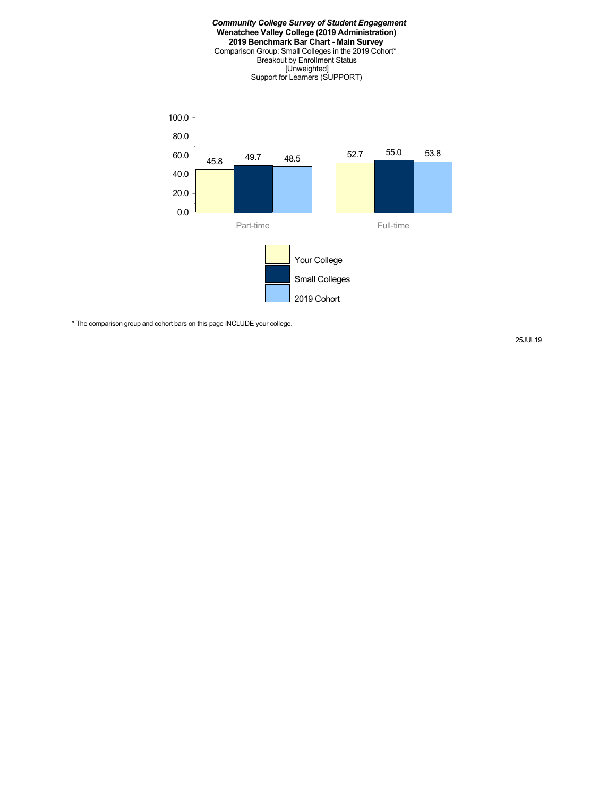#### *Community College Survey of Student Engagement* **Wenatchee Valley College (2019 Administration) 2019 Benchmark Bar Chart - Main Survey** Comparison Group: Small Colleges in the 2019 Cohort\* Breakout by Enrollment Status [Unweighted] Support for Learners (SUPPORT)



\* The comparison group and cohort bars on this page INCLUDE your college.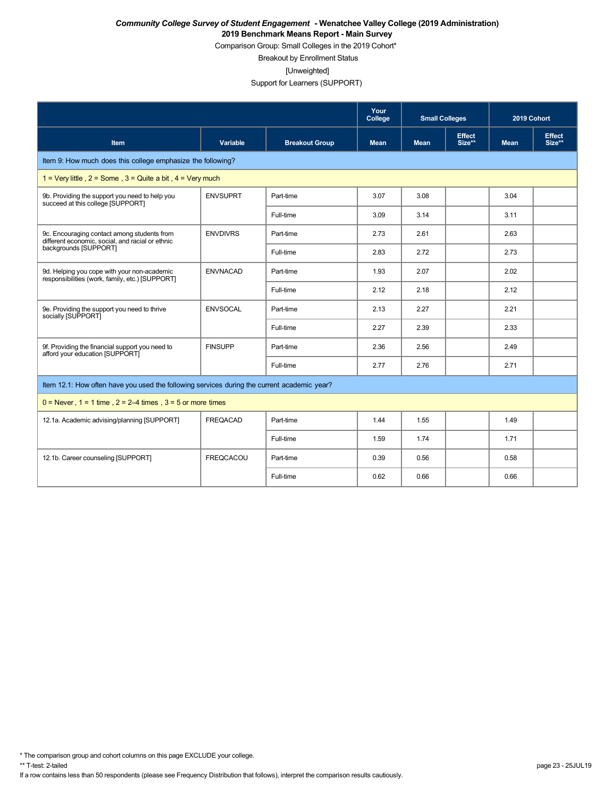Comparison Group: Small Colleges in the 2019 Cohort\*

Breakout by Enrollment Status

[Unweighted]

Support for Learners (SUPPORT)

|                                                                                                                          |                  |                       | Your<br>College | <b>Small Colleges</b> |                         | 2019 Cohort |                         |  |
|--------------------------------------------------------------------------------------------------------------------------|------------------|-----------------------|-----------------|-----------------------|-------------------------|-------------|-------------------------|--|
| <b>Item</b>                                                                                                              | Variable         | <b>Breakout Group</b> | <b>Mean</b>     | <b>Mean</b>           | <b>Effect</b><br>Size** | <b>Mean</b> | <b>Effect</b><br>Size** |  |
| Item 9: How much does this college emphasize the following?                                                              |                  |                       |                 |                       |                         |             |                         |  |
| 1 = Very little, $2 =$ Some, $3 =$ Quite a bit, $4 =$ Very much                                                          |                  |                       |                 |                       |                         |             |                         |  |
| 9b. Providing the support you need to help you<br>succeed at this college [SUPPORT]                                      | <b>ENVSUPRT</b>  | Part-time             | 3.07            | 3.08                  |                         | 3.04        |                         |  |
|                                                                                                                          |                  | Full-time             | 3.09            | 3.14                  |                         | 3.11        |                         |  |
| 9c. Encouraging contact among students from<br>different economic, social, and racial or ethnic<br>backgrounds [SUPPORT] | <b>ENVDIVRS</b>  | Part-time             | 2.73            | 2.61                  |                         | 2.63        |                         |  |
|                                                                                                                          |                  | Full-time             | 2.83            | 2.72                  |                         | 2.73        |                         |  |
| 9d. Helping you cope with your non-academic<br>responsibilities (work, family, etc.) [SUPPORT]                           | <b>ENVNACAD</b>  | Part-time             | 1.93            | 2.07                  |                         | 2.02        |                         |  |
|                                                                                                                          |                  | Full-time             | 2.12            | 2.18                  |                         | 2.12        |                         |  |
| 9e. Providing the support you need to thrive<br>socially [SUPPORT]                                                       | <b>ENVSOCAL</b>  | Part-time             | 2.13            | 2.27                  |                         | 2.21        |                         |  |
|                                                                                                                          |                  | Full-time             | 2.27            | 2.39                  |                         | 2.33        |                         |  |
| 9f. Providing the financial support you need to<br>afford your education [SUPPORT]                                       | <b>FINSUPP</b>   | Part-time             | 2.36            | 2.56                  |                         | 2.49        |                         |  |
|                                                                                                                          |                  | Full-time             | 2.77            | 2.76                  |                         | 2.71        |                         |  |
| Item 12.1: How often have you used the following services during the current academic year?                              |                  |                       |                 |                       |                         |             |                         |  |
| $0 =$ Never, 1 = 1 time, 2 = 2–4 times, 3 = 5 or more times                                                              |                  |                       |                 |                       |                         |             |                         |  |
| 12.1a. Academic advising/planning [SUPPORT]                                                                              | <b>FREQACAD</b>  | Part-time             | 1.44            | 1.55                  |                         | 1.49        |                         |  |
|                                                                                                                          |                  | Full-time             | 1.59            | 1.74                  |                         | 1.71        |                         |  |
| 12.1b. Career counseling [SUPPORT]                                                                                       | <b>FREQCACOU</b> | Part-time             | 0.39            | 0.56                  |                         | 0.58        |                         |  |
|                                                                                                                          |                  | Full-time             | 0.62            | 0.66                  |                         | 0.66        |                         |  |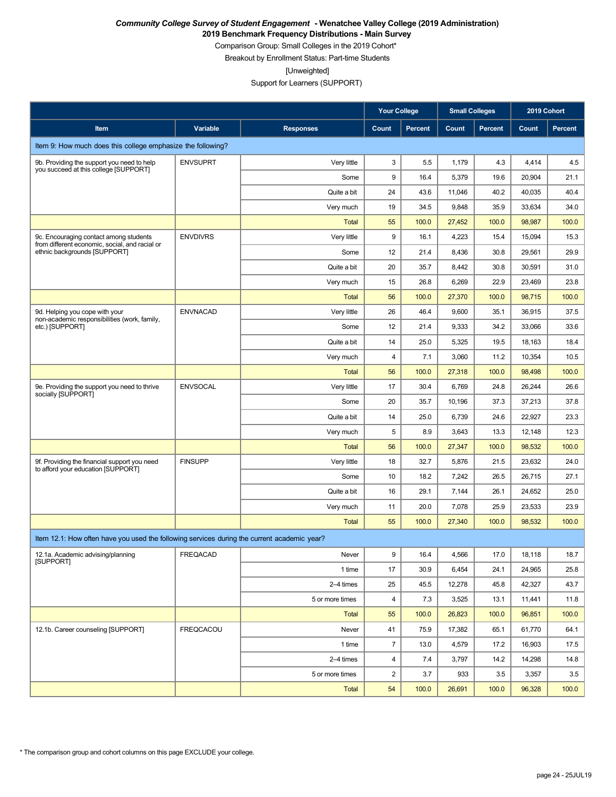**2019 Benchmark Frequency Distributions - Main Survey**

Comparison Group: Small Colleges in the 2019 Cohort\*

Breakout by Enrollment Status: Part-time Students

[Unweighted]

Support for Learners (SUPPORT)

|                                                                                             |                  |                  | <b>Your College</b>     |                | <b>Small Colleges</b> |                | 2019 Cohort |                |
|---------------------------------------------------------------------------------------------|------------------|------------------|-------------------------|----------------|-----------------------|----------------|-------------|----------------|
| Item                                                                                        | Variable         | <b>Responses</b> | Count                   | <b>Percent</b> | Count                 | <b>Percent</b> | Count       | <b>Percent</b> |
| Item 9: How much does this college emphasize the following?                                 |                  |                  |                         |                |                       |                |             |                |
| 9b. Providing the support you need to help<br>you succeed at this college [SUPPORT]         | <b>ENVSUPRT</b>  | Very little      | 3                       | 5.5            | 1,179                 | 4.3            | 4,414       | 4.5            |
|                                                                                             |                  | Some             | 9                       | 16.4           | 5,379                 | 19.6           | 20,904      | 21.1           |
|                                                                                             |                  | Quite a bit      | 24                      | 43.6           | 11,046                | 40.2           | 40,035      | 40.4           |
|                                                                                             |                  | Very much        | 19                      | 34.5           | 9,848                 | 35.9           | 33,634      | 34.0           |
|                                                                                             |                  | <b>Total</b>     | 55                      | 100.0          | 27,452                | 100.0          | 98,987      | 100.0          |
| 9c. Encouraging contact among students<br>from different economic, social, and racial or    | <b>ENVDIVRS</b>  | Very little      | 9                       | 16.1           | 4,223                 | 15.4           | 15,094      | 15.3           |
| ethnic backgrounds [SUPPORT]                                                                |                  | Some             | 12                      | 21.4           | 8,436                 | 30.8           | 29,561      | 29.9           |
|                                                                                             |                  | Quite a bit      | 20                      | 35.7           | 8,442                 | 30.8           | 30,591      | 31.0           |
|                                                                                             |                  | Very much        | 15                      | 26.8           | 6,269                 | 22.9           | 23,469      | 23.8           |
|                                                                                             |                  | <b>Total</b>     | 56                      | 100.0          | 27,370                | 100.0          | 98,715      | 100.0          |
| 9d. Helping you cope with your<br>non-academic responsibilities (work, family,              | <b>ENVNACAD</b>  | Very little      | 26                      | 46.4           | 9,600                 | 35.1           | 36,915      | 37.5           |
| etc.) [SUPPORT]                                                                             |                  | Some             | 12                      | 21.4           | 9,333                 | 34.2           | 33,066      | 33.6           |
|                                                                                             |                  | Quite a bit      | 14                      | 25.0           | 5,325                 | 19.5           | 18,163      | 18.4           |
|                                                                                             |                  | Very much        | 4                       | 7.1            | 3,060                 | 11.2           | 10,354      | 10.5           |
|                                                                                             |                  | <b>Total</b>     | 56                      | 100.0          | 27,318                | 100.0          | 98,498      | 100.0          |
| 9e. Providing the support you need to thrive<br>socially [SUPPORT]                          | <b>ENVSOCAL</b>  | Very little      | 17                      | 30.4           | 6,769                 | 24.8           | 26,244      | 26.6           |
|                                                                                             |                  | Some             | 20                      | 35.7           | 10,196                | 37.3           | 37,213      | 37.8           |
|                                                                                             |                  | Quite a bit      | 14                      | 25.0           | 6,739                 | 24.6           | 22,927      | 23.3           |
|                                                                                             |                  | Very much        | 5                       | 8.9            | 3,643                 | 13.3           | 12,148      | 12.3           |
|                                                                                             |                  | <b>Total</b>     | 56                      | 100.0          | 27,347                | 100.0          | 98,532      | 100.0          |
| 9f. Providing the financial support you need<br>to afford your education [SUPPORT]          | <b>FINSUPP</b>   | Very little      | 18                      | 32.7           | 5,876                 | 21.5           | 23,632      | 24.0           |
|                                                                                             |                  | Some             | 10                      | 18.2           | 7,242                 | 26.5           | 26,715      | 27.1           |
|                                                                                             |                  | Quite a bit      | 16                      | 29.1           | 7,144                 | 26.1           | 24,652      | 25.0           |
|                                                                                             |                  | Very much        | 11                      | 20.0           | 7,078                 | 25.9           | 23,533      | 23.9           |
|                                                                                             |                  | <b>Total</b>     | 55                      | 100.0          | 27,340                | 100.0          | 98,532      | 100.0          |
| Item 12.1: How often have you used the following services during the current academic year? |                  |                  |                         |                |                       |                |             |                |
| 12.1a. Academic advising/planning<br>[SUPPORT]                                              | FREQACAD         | Never            | 9                       | 16.4           | 4,566                 | 17.0           | 18,118      | 18.7           |
|                                                                                             |                  | 1 time           | 17                      | 30.9           | 6,454                 | 24.1           | 24,965      | 25.8           |
|                                                                                             |                  | 2-4 times        | 25                      | 45.5           | 12,278                | 45.8           | 42,327      | 43.7           |
|                                                                                             |                  | 5 or more times  | 4                       | 7.3            | 3,525                 | 13.1           | 11,441      | 11.8           |
|                                                                                             |                  | Total            | 55                      | 100.0          | 26,823                | 100.0          | 96,851      | 100.0          |
| 12.1b. Career counseling [SUPPORT]                                                          | <b>FREQCACOU</b> | Never            | 41                      | 75.9           | 17,382                | 65.1           | 61,770      | 64.1           |
|                                                                                             |                  | 1 time           | $\overline{7}$          | 13.0           | 4,579                 | 17.2           | 16,903      | 17.5           |
|                                                                                             |                  | 2-4 times        | 4                       | 7.4            | 3,797                 | 14.2           | 14,298      | 14.8           |
|                                                                                             |                  | 5 or more times  | $\overline{\mathbf{c}}$ | 3.7            | 933                   | 3.5            | 3,357       | 3.5            |
|                                                                                             |                  | Total            | 54                      | 100.0          | 26,691                | 100.0          | 96,328      | 100.0          |